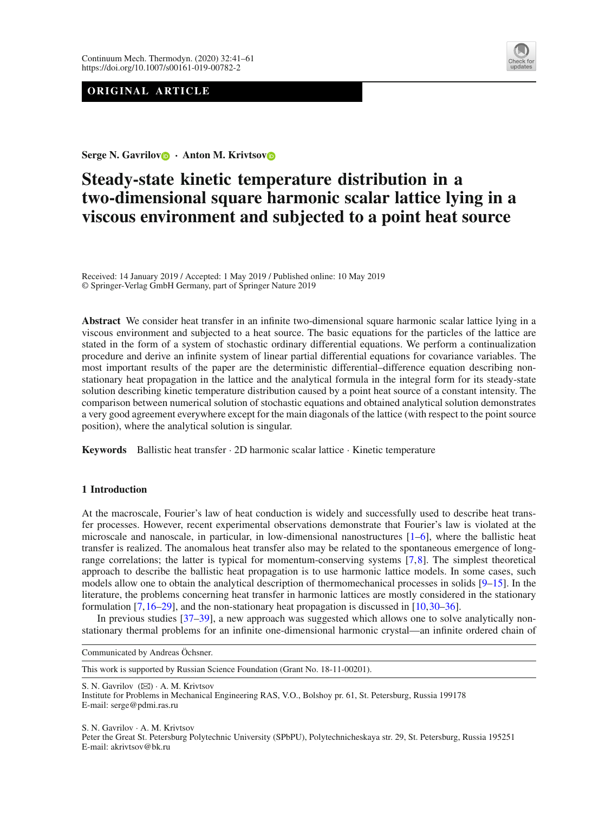## **ORIGINAL ARTICLE**



**Serge N. Gavrilo[v](http://orcid.org/0000-0002-7889-3350) · Anton M. Krivtso[v](http://orcid.org/0000-0002-9258-065X)**

# **Steady-state kinetic temperature distribution in a two-dimensional square harmonic scalar lattice lying in a viscous environment and subjected to a point heat source**

Received: 14 January 2019 / Accepted: 1 May 2019 / Published online: 10 May 2019 © Springer-Verlag GmbH Germany, part of Springer Nature 2019

**Abstract** We consider heat transfer in an infinite two-dimensional square harmonic scalar lattice lying in a viscous environment and subjected to a heat source. The basic equations for the particles of the lattice are stated in the form of a system of stochastic ordinary differential equations. We perform a continualization procedure and derive an infinite system of linear partial differential equations for covariance variables. The most important results of the paper are the deterministic differential–difference equation describing nonstationary heat propagation in the lattice and the analytical formula in the integral form for its steady-state solution describing kinetic temperature distribution caused by a point heat source of a constant intensity. The comparison between numerical solution of stochastic equations and obtained analytical solution demonstrates a very good agreement everywhere except for the main diagonals of the lattice (with respect to the point source position), where the analytical solution is singular.

**Keywords** Ballistic heat transfer · 2D harmonic scalar lattice · Kinetic temperature

## <span id="page-0-0"></span>**1 Introduction**

At the macroscale, Fourier's law of heat conduction is widely and successfully used to describe heat transfer processes. However, recent experimental observations demonstrate that Fourier's law is violated at the microscale and nanoscale, in particular, in low-dimensional nanostructures  $[1-6]$  $[1-6]$ , where the ballistic heat transfer is realized. The anomalous heat transfer also may be related to the spontaneous emergence of longrange correlations; the latter is typical for momentum-conserving systems [\[7](#page-18-2)[,8\]](#page-18-3). The simplest theoretical approach to describe the ballistic heat propagation is to use harmonic lattice models. In some cases, such models allow one to obtain the analytical description of thermomechanical processes in solids [\[9](#page-18-4)[–15\]](#page-18-5). In the literature, the problems concerning heat transfer in harmonic lattices are mostly considered in the stationary formulation [\[7,](#page-18-2)[16](#page-18-6)[–29](#page-18-7)], and the non-stationary heat propagation is discussed in [\[10,](#page-18-8)[30](#page-18-9)[–36](#page-19-0)].

In previous studies [\[37](#page-19-1)[–39](#page-19-2)], a new approach was suggested which allows one to solve analytically nonstationary thermal problems for an infinite one-dimensional harmonic crystal—an infinite ordered chain of

Communicated by Andreas Öchsner.

This work is supported by Russian Science Foundation (Grant No. 18-11-00201).

S. N. Gavrilov (⊠) · A. M. Krivtsov

S. N. Gavrilov · A. M. Krivtsov

Peter the Great St. Petersburg Polytechnic University (SPbPU), Polytechnicheskaya str. 29, St. Petersburg, Russia 195251 E-mail: akrivtsov@bk.ru

Institute for Problems in Mechanical Engineering RAS, V.O., Bolshoy pr. 61, St. Petersburg, Russia 199178 E-mail: serge@pdmi.ras.ru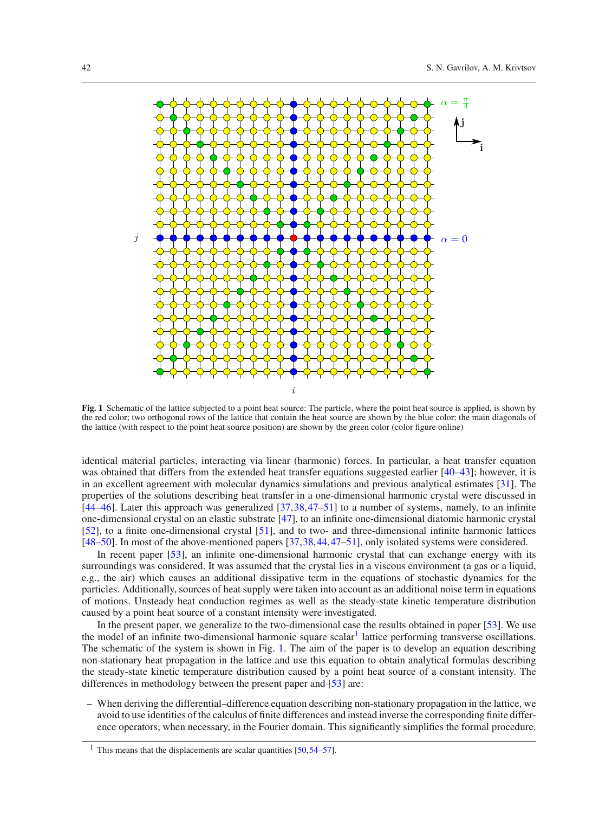

<span id="page-1-1"></span>**Fig. 1** Schematic of the lattice subjected to a point heat source: The particle, where the point heat source is applied, is shown by the red color; two orthogonal rows of the lattice that contain the heat source are shown by the blue color; the main diagonals of the lattice (with respect to the point heat source position) are shown by the green color (color figure online)

identical material particles, interacting via linear (harmonic) forces. In particular, a heat transfer equation was obtained that differs from the extended heat transfer equations suggested earlier [\[40](#page-19-3)[–43\]](#page-19-4); however, it is in an excellent agreement with molecular dynamics simulations and previous analytical estimates [\[31](#page-18-10)]. The properties of the solutions describing heat transfer in a one-dimensional harmonic crystal were discussed in [\[44](#page-19-5)[–46](#page-19-6)]. Later this approach was generalized [\[37](#page-19-1)[,38](#page-19-7),[47](#page-19-8)[–51](#page-19-9)] to a number of systems, namely, to an infinite one-dimensional crystal on an elastic substrate [\[47](#page-19-8)], to an infinite one-dimensional diatomic harmonic crystal [\[52](#page-19-10)], to a finite one-dimensional crystal [\[51](#page-19-9)], and to two- and three-dimensional infinite harmonic lattices [\[48](#page-19-11)[–50](#page-19-12)]. In most of the above-mentioned papers [\[37,](#page-19-1)[38](#page-19-7)[,44,](#page-19-5)[47](#page-19-8)[–51](#page-19-9)], only isolated systems were considered.

In recent paper [\[53](#page-19-13)], an infinite one-dimensional harmonic crystal that can exchange energy with its surroundings was considered. It was assumed that the crystal lies in a viscous environment (a gas or a liquid, e.g., the air) which causes an additional dissipative term in the equations of stochastic dynamics for the particles. Additionally, sources of heat supply were taken into account as an additional noise term in equations of motions. Unsteady heat conduction regimes as well as the steady-state kinetic temperature distribution caused by a point heat source of a constant intensity were investigated.

In the present paper, we generalize to the two-dimensional case the results obtained in paper [\[53](#page-19-13)]. We use the model of an infinite two-dimensional harmonic square scalar<sup>1</sup> lattice performing transverse oscillations. The schematic of the system is shown in Fig. [1.](#page-1-1) The aim of the paper is to develop an equation describing non-stationary heat propagation in the lattice and use this equation to obtain analytical formulas describing the steady-state kinetic temperature distribution caused by a point heat source of a constant intensity. The differences in methodology between the present paper and [\[53\]](#page-19-13) are:

– When deriving the differential–difference equation describing non-stationary propagation in the lattice, we avoid to use identities of the calculus of finite differences and instead inverse the corresponding finite difference operators, when necessary, in the Fourier domain. This significantly simplifies the formal procedure.

<span id="page-1-0"></span><sup>&</sup>lt;sup>1</sup> This means that the displacements are scalar quantities  $[50, 54-57]$  $[50, 54-57]$ .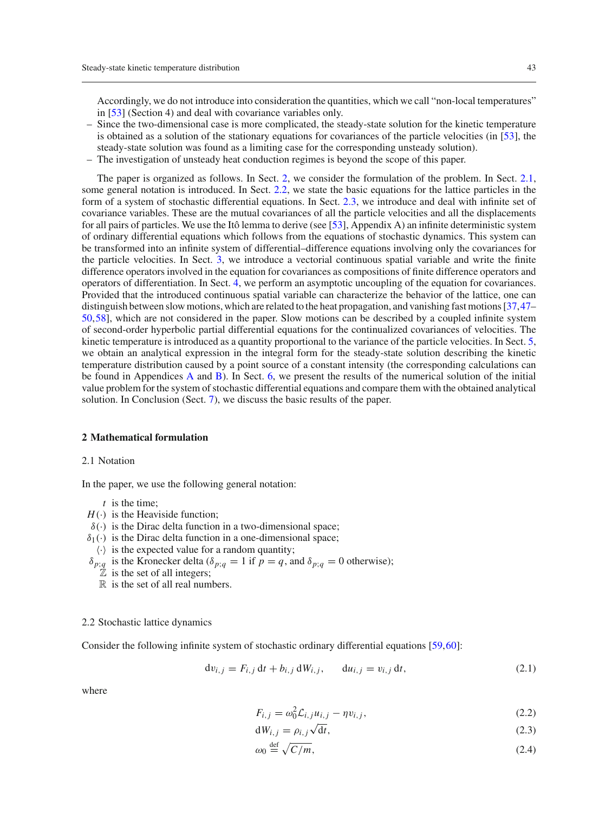Accordingly, we do not introduce into consideration the quantities, which we call "non-local temperatures" in [\[53\]](#page-19-13) (Section 4) and deal with covariance variables only.

- Since the two-dimensional case is more complicated, the steady-state solution for the kinetic temperature is obtained as a solution of the stationary equations for covariances of the particle velocities (in [\[53\]](#page-19-13), the steady-state solution was found as a limiting case for the corresponding unsteady solution).
- The investigation of unsteady heat conduction regimes is beyond the scope of this paper.

The paper is organized as follows. In Sect. [2,](#page-2-0) we consider the formulation of the problem. In Sect. [2.1,](#page-2-1) some general notation is introduced. In Sect. [2.2,](#page-2-2) we state the basic equations for the lattice particles in the form of a system of stochastic differential equations. In Sect. [2.3,](#page-3-0) we introduce and deal with infinite set of covariance variables. These are the mutual covariances of all the particle velocities and all the displacements for all pairs of particles. We use the Itô lemma to derive (see [\[53\]](#page-19-13), Appendix A) an infinite deterministic system of ordinary differential equations which follows from the equations of stochastic dynamics. This system can be transformed into an infinite system of differential–difference equations involving only the covariances for the particle velocities. In Sect. [3,](#page-4-0) we introduce a vectorial continuous spatial variable and write the finite difference operators involved in the equation for covariances as compositions of finite difference operators and operators of differentiation. In Sect. [4,](#page-6-0) we perform an asymptotic uncoupling of the equation for covariances. Provided that the introduced continuous spatial variable can characterize the behavior of the lattice, one can distinguish between slow motions, which are related to the heat propagation, and vanishing fast motions [\[37](#page-19-1),[47–](#page-19-8) [50](#page-19-12)[,58](#page-19-16)], which are not considered in the paper. Slow motions can be described by a coupled infinite system of second-order hyperbolic partial differential equations for the continualized covariances of velocities. The kinetic temperature is introduced as a quantity proportional to the variance of the particle velocities. In Sect. [5,](#page-7-0) we obtain an analytical expression in the integral form for the steady-state solution describing the kinetic temperature distribution caused by a point source of a constant intensity (the corresponding calculations can be found in Appendices [A](#page-0-0) and [B\)](#page-2-0). In Sect. [6,](#page-9-0) we present the results of the numerical solution of the initial value problem for the system of stochastic differential equations and compare them with the obtained analytical solution. In Conclusion (Sect. [7\)](#page-13-0), we discuss the basic results of the paper.

## <span id="page-2-0"></span>**2 Mathematical formulation**

#### <span id="page-2-1"></span>2.1 Notation

In the paper, we use the following general notation:

- *t* is the time;
- $H(\cdot)$  is the Heaviside function;
- $\delta(\cdot)$  is the Dirac delta function in a two-dimensional space;
- $\delta_1(\cdot)$  is the Dirac delta function in a one-dimensional space;
- $\langle \cdot \rangle$  is the expected value for a random quantity;
- δ<sub>*p*;*q*</sub> is the Kronecker delta (δ<sub>*p*;*q*</sub> = 1 if *p* = *q*, and δ<sub>*p*;*q*</sub> = 0 otherwise);
	- $\mathbb Z$  is the set of all integers;
	- $\mathbb R$  is the set of all real numbers.

#### <span id="page-2-2"></span>2.2 Stochastic lattice dynamics

Consider the following infinite system of stochastic ordinary differential equations [\[59](#page-19-17)[,60](#page-19-18)]:

<span id="page-2-3"></span>
$$
dv_{i,j} = F_{i,j} dt + b_{i,j} dW_{i,j}, \t du_{i,j} = v_{i,j} dt,
$$
\n(2.1)

<span id="page-2-4"></span>
$$
F_{i,j} = \omega_0^2 \mathcal{L}_{i,j} u_{i,j} - \eta v_{i,j},
$$
\n(2.2)

$$
dW_{i,j} = \rho_{i,j}\sqrt{dt},\tag{2.3}
$$

$$
\omega_0 \stackrel{\text{def}}{=} \sqrt{C/m},\tag{2.4}
$$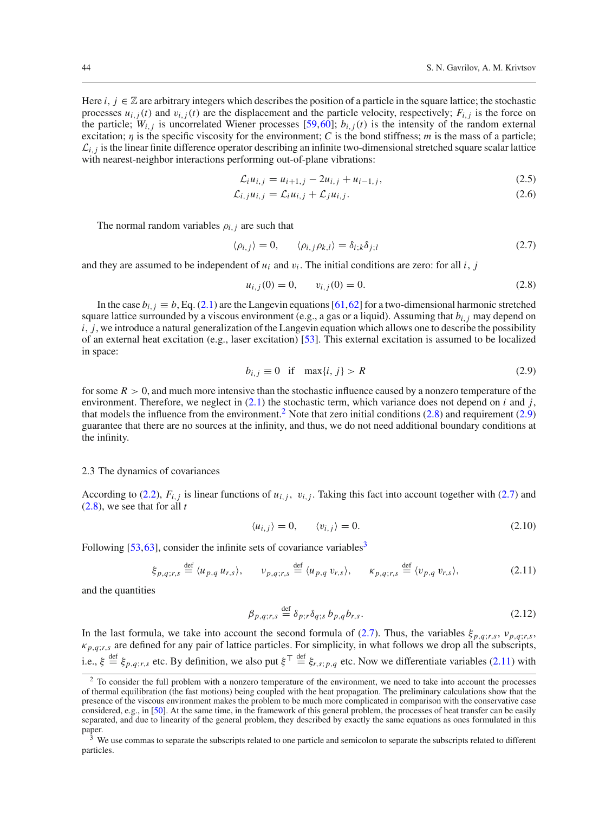Here *i*,  $j \in \mathbb{Z}$  are arbitrary integers which describes the position of a particle in the square lattice; the stochastic processes  $u_{i,j}(t)$  and  $v_{i,j}(t)$  are the displacement and the particle velocity, respectively;  $F_{i,j}$  is the force on the particle;  $W_{i,j}$  is uncorrelated Wiener processes [\[59,](#page-19-17)[60](#page-19-18)];  $b_{i,j}(t)$  is the intensity of the random external excitation; η is the specific viscosity for the environment; *C* is the bond stiffness; *m* is the mass of a particle;  $\mathcal{L}_{i,j}$  is the linear finite difference operator describing an infinite two-dimensional stretched square scalar lattice with nearest-neighbor interactions performing out-of-plane vibrations:

<span id="page-3-7"></span>
$$
\mathcal{L}_i u_{i,j} = u_{i+1,j} - 2u_{i,j} + u_{i-1,j},\tag{2.5}
$$

$$
\mathcal{L}_{i,j}u_{i,j} = \mathcal{L}_i u_{i,j} + \mathcal{L}_j u_{i,j}.
$$
\n(2.6)

The normal random variables  $\rho_{i,j}$  are such that

<span id="page-3-4"></span>
$$
\langle \rho_{i,j} \rangle = 0, \qquad \langle \rho_{i,j} \rho_{k,l} \rangle = \delta_{i,k} \delta_{j,l} \tag{2.7}
$$

and they are assumed to be independent of  $u_i$  and  $v_i$ . The initial conditions are zero: for all *i*, *j* 

<span id="page-3-2"></span>
$$
u_{i,j}(0) = 0, \qquad v_{i,j}(0) = 0. \tag{2.8}
$$

In the case  $b_{i,j} \equiv b$ , Eq. [\(2.1\)](#page-2-3) are the Langevin equations [\[61](#page-19-19),[62\]](#page-19-20) for a two-dimensional harmonic stretched square lattice surrounded by a viscous environment (e.g., a gas or a liquid). Assuming that *bi*,*<sup>j</sup>* may depend on *i*, *j*, we introduce a natural generalization of the Langevin equation which allows one to describe the possibility of an external heat excitation (e.g., laser excitation) [\[53\]](#page-19-13). This external excitation is assumed to be localized in space:

<span id="page-3-3"></span>
$$
b_{i,j} \equiv 0 \quad \text{if} \quad \max\{i,j\} > R \tag{2.9}
$$

for some  $R > 0$ , and much more intensive than the stochastic influence caused by a nonzero temperature of the environment. Therefore, we neglect in [\(2.1\)](#page-2-3) the stochastic term, which variance does not depend on *i* and *j*, that models the influence from the environment.<sup>[2](#page-3-1)</sup> Note that zero initial conditions  $(2.8)$  and requirement  $(2.9)$ guarantee that there are no sources at the infinity, and thus, we do not need additional boundary conditions at the infinity.

## <span id="page-3-0"></span>2.3 The dynamics of covariances

According to [\(2.2\)](#page-2-4),  $F_{i,j}$  is linear functions of  $u_{i,j}$ ,  $v_{i,j}$ . Taking this fact into account together with [\(2.7\)](#page-3-4) and [\(2.8\)](#page-3-2), we see that for all *t*

$$
\langle u_{i,j} \rangle = 0, \qquad \langle v_{i,j} \rangle = 0. \tag{2.10}
$$

Following  $[53, 63]$  $[53, 63]$  $[53, 63]$  $[53, 63]$ , consider the infinite sets of covariance variables<sup>3</sup>

<span id="page-3-6"></span>
$$
\xi_{p,q;r,s} \stackrel{\text{def}}{=} \langle u_{p,q} u_{r,s} \rangle, \qquad v_{p,q;r,s} \stackrel{\text{def}}{=} \langle u_{p,q} v_{r,s} \rangle, \qquad \kappa_{p,q;r,s} \stackrel{\text{def}}{=} \langle v_{p,q} v_{r,s} \rangle,
$$
(2.11)

and the quantities

<span id="page-3-8"></span>
$$
\beta_{p,q;r,s} \stackrel{\text{def}}{=} \delta_{p;r} \delta_{q;s} b_{p,q} b_{r,s}. \tag{2.12}
$$

In the last formula, we take into account the second formula of [\(2.7\)](#page-3-4). Thus, the variables  $\xi_{p,q;r,s}$ ,  $v_{p,q;r,s}$  $\kappa_{p,q;r,s}$  are defined for any pair of lattice particles. For simplicity, in what follows we drop all the subscripts, i.e.,  $\xi \stackrel{\text{def}}{=} \xi_{p,q;r,s}$  etc. By definition, we also put  $\xi^{\top} \stackrel{\text{def}}{=} \xi_{r,s;p,q}$  etc. Now we differentiate variables [\(2.11\)](#page-3-6) with

<span id="page-3-1"></span><sup>&</sup>lt;sup>2</sup> To consider the full problem with a nonzero temperature of the environment, we need to take into account the processes of thermal equilibration (the fast motions) being coupled with the heat propagation. The preliminary calculations show that the presence of the viscous environment makes the problem to be much more complicated in comparison with the conservative case considered, e.g., in [\[50\]](#page-19-12). At the same time, in the framework of this general problem, the processes of heat transfer can be easily separated, and due to linearity of the general problem, they described by exactly the same equations as ones formulated in this paper.

<span id="page-3-5"></span><sup>3</sup> We use commas to separate the subscripts related to one particle and semicolon to separate the subscripts related to different particles.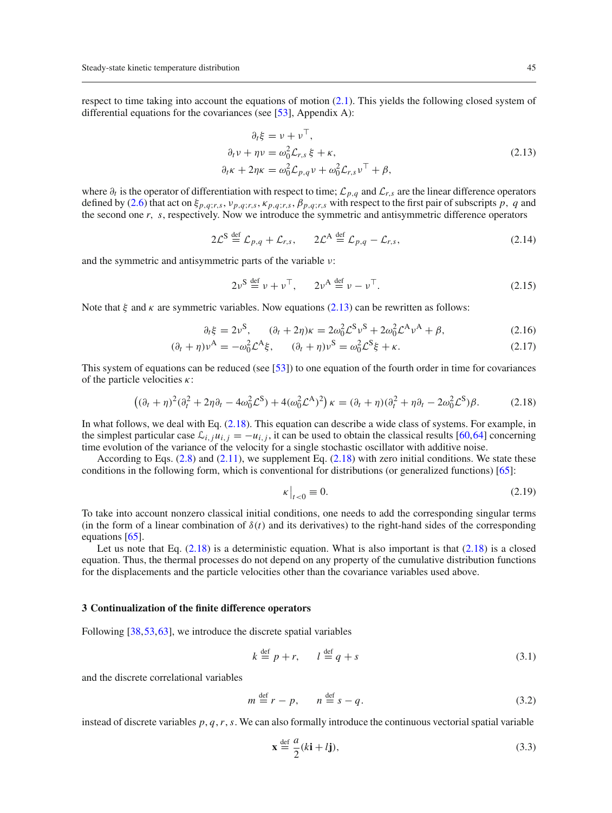respect to time taking into account the equations of motion [\(2.1\)](#page-2-3). This yields the following closed system of differential equations for the covariances (see [\[53](#page-19-13)], Appendix A):

<span id="page-4-1"></span>
$$
\partial_t \xi = \nu + \nu^+,
$$
  
\n
$$
\partial_t \nu + \eta \nu = \omega_0^2 \mathcal{L}_{r,s} \xi + \kappa,
$$
  
\n
$$
\partial_t \kappa + 2\eta \kappa = \omega_0^2 \mathcal{L}_{p,q} \nu + \omega_0^2 \mathcal{L}_{r,s} \nu^\top + \beta,
$$
\n(2.13)

where ∂*<sup>t</sup>* is the operator of differentiation with respect to time; *Lp*,*<sup>q</sup>* and *Lr*,*<sup>s</sup>* are the linear difference operators defined by [\(2.6\)](#page-3-7) that act on  $\xi_{p,q;r,s}$ ,  $v_{p,q;r,s}$ ,  $\kappa_{p,q;r,s}$ ,  $\beta_{p,q;r,s}$  with respect to the first pair of subscripts p, q and the second one *r*, *s*, respectively. Now we introduce the symmetric and antisymmetric difference operators

$$
2\mathcal{L}^{S} \stackrel{\text{def}}{=} \mathcal{L}_{p,q} + \mathcal{L}_{r,s}, \qquad 2\mathcal{L}^{A} \stackrel{\text{def}}{=} \mathcal{L}_{p,q} - \mathcal{L}_{r,s}, \tag{2.14}
$$

and the symmetric and antisymmetric parts of the variable ν:

$$
2\nu^{\text{S}} \stackrel{\text{def}}{=} \nu + \nu^{\text{T}}, \qquad 2\nu^{\text{A}} \stackrel{\text{def}}{=} \nu - \nu^{\text{T}}.
$$

Note that  $\xi$  and  $\kappa$  are symmetric variables. Now equations [\(2.13\)](#page-4-1) can be rewritten as follows:

$$
\partial_t \xi = 2\nu^S, \qquad (\partial_t + 2\eta)\kappa = 2\omega_0^2 \mathcal{L}^S \nu^S + 2\omega_0^2 \mathcal{L}^A \nu^A + \beta, \tag{2.16}
$$

$$
(\partial_t + \eta)\nu^A = -\omega_0^2 \mathcal{L}^A \xi, \qquad (\partial_t + \eta)\nu^S = \omega_0^2 \mathcal{L}^S \xi + \kappa. \tag{2.17}
$$

This system of equations can be reduced (see [\[53](#page-19-13)]) to one equation of the fourth order in time for covariances of the particle velocities  $\kappa$ :

<span id="page-4-2"></span>
$$
((\partial_t + \eta)^2 (\partial_t^2 + 2\eta \partial_t - 4\omega_0^2 \mathcal{L}^S) + 4(\omega_0^2 \mathcal{L}^A)^2) \kappa = (\partial_t + \eta)(\partial_t^2 + \eta \partial_t - 2\omega_0^2 \mathcal{L}^S) \beta. \tag{2.18}
$$

In what follows, we deal with Eq. [\(2.18\)](#page-4-2). This equation can describe a wide class of systems. For example, in the simplest particular case  $\mathcal{L}_{i,i}u_{i,j} = -u_{i,j}$ , it can be used to obtain the classical results [\[60](#page-19-18),[64\]](#page-19-22) concerning time evolution of the variance of the velocity for a single stochastic oscillator with additive noise.

According to Eqs.  $(2.8)$  and  $(2.11)$ , we supplement Eq.  $(2.18)$  with zero initial conditions. We state these conditions in the following form, which is conventional for distributions (or generalized functions) [\[65](#page-19-23)]:

<span id="page-4-5"></span>
$$
\kappa\big|_{t<0}\equiv 0.\tag{2.19}
$$

To take into account nonzero classical initial conditions, one needs to add the corresponding singular terms (in the form of a linear combination of  $\delta(t)$  and its derivatives) to the right-hand sides of the corresponding equations [\[65\]](#page-19-23).

Let us note that Eq.  $(2.18)$  is a deterministic equation. What is also important is that  $(2.18)$  is a closed equation. Thus, the thermal processes do not depend on any property of the cumulative distribution functions for the displacements and the particle velocities other than the covariance variables used above.

#### <span id="page-4-0"></span>**3 Continualization of the finite difference operators**

Following [\[38](#page-19-7)[,53,](#page-19-13)[63](#page-19-21)], we introduce the discrete spatial variables

<span id="page-4-3"></span>
$$
k \stackrel{\text{def}}{=} p + r, \qquad l \stackrel{\text{def}}{=} q + s \tag{3.1}
$$

and the discrete correlational variables

<span id="page-4-4"></span>
$$
m \stackrel{\text{def}}{=} r - p, \qquad n \stackrel{\text{def}}{=} s - q. \tag{3.2}
$$

instead of discrete variables  $p$ ,  $q$ ,  $r$ ,  $s$ . We can also formally introduce the continuous vectorial spatial variable

$$
\mathbf{x} \stackrel{\text{def}}{=} \frac{a}{2}(k\mathbf{i} + l\mathbf{j}),\tag{3.3}
$$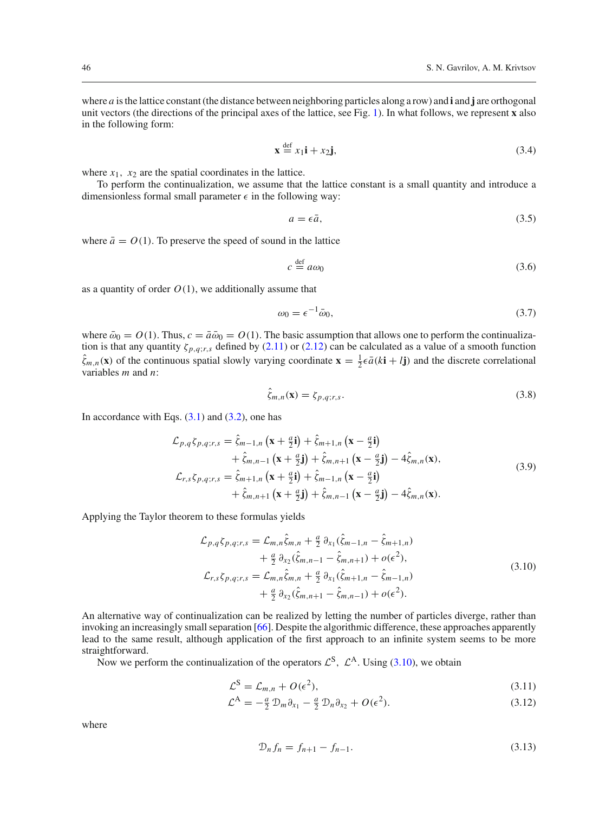where *a* is the lattice constant (the distance between neighboring particles along a row) and **i** and **j** are orthogonal unit vectors (the directions of the principal axes of the lattice, see Fig. [1\)](#page-1-1). In what follows, we represent **x** also in the following form:

<span id="page-5-4"></span>
$$
\mathbf{x} \stackrel{\text{def}}{=} x_1 \mathbf{i} + x_2 \mathbf{j},\tag{3.4}
$$

where  $x_1$ ,  $x_2$  are the spatial coordinates in the lattice.

To perform the continualization, we assume that the lattice constant is a small quantity and introduce a dimensionless formal small parameter  $\epsilon$  in the following way:

$$
a = \epsilon \bar{a},\tag{3.5}
$$

where  $\bar{a} = O(1)$ . To preserve the speed of sound in the lattice

$$
c \stackrel{\text{def}}{=} a\omega_0 \tag{3.6}
$$

as a quantity of order  $O(1)$ , we additionally assume that

<span id="page-5-1"></span>
$$
\omega_0 = \epsilon^{-1} \bar{\omega}_0,\tag{3.7}
$$

where  $\bar{\omega}_0 = O(1)$ . Thus,  $c = \bar{a}\bar{\omega}_0 = O(1)$ . The basic assumption that allows one to perform the continualization is that any quantity  $\zeta_{p,q;r,s}$  defined by [\(2.11\)](#page-3-6) or [\(2.12\)](#page-3-8) can be calculated as a value of a smooth function  $\hat{\zeta}_{m,n}(\mathbf{x})$  of the continuous spatial slowly varying coordinate  $\mathbf{x} = \frac{1}{2} \epsilon \bar{a} (k \mathbf{i} + l \mathbf{j})$  and the discrete correlational variables *m* and *n*:

<span id="page-5-3"></span>
$$
\zeta_{m,n}(\mathbf{x}) = \zeta_{p,q;r,s}.\tag{3.8}
$$

In accordance with Eqs.  $(3.1)$  and  $(3.2)$ , one has

$$
\mathcal{L}_{p,q}\zeta_{p,q;r,s} = \hat{\zeta}_{m-1,n}\left(\mathbf{x} + \frac{a}{2}\mathbf{i}\right) + \hat{\zeta}_{m+1,n}\left(\mathbf{x} - \frac{a}{2}\mathbf{i}\right) \n+ \hat{\zeta}_{m,n-1}\left(\mathbf{x} + \frac{a}{2}\mathbf{j}\right) + \hat{\zeta}_{m,n+1}\left(\mathbf{x} - \frac{a}{2}\mathbf{j}\right) - 4\hat{\zeta}_{m,n}(\mathbf{x}), \n\mathcal{L}_{r,s}\zeta_{p,q;r,s} = \hat{\zeta}_{m+1,n}\left(\mathbf{x} + \frac{a}{2}\mathbf{i}\right) + \hat{\zeta}_{m-1,n}\left(\mathbf{x} - \frac{a}{2}\mathbf{i}\right) \n+ \hat{\zeta}_{m,n+1}\left(\mathbf{x} + \frac{a}{2}\mathbf{j}\right) + \hat{\zeta}_{m,n-1}\left(\mathbf{x} - \frac{a}{2}\mathbf{j}\right) - 4\hat{\zeta}_{m,n}(\mathbf{x}).
$$
\n(3.9)

Applying the Taylor theorem to these formulas yields

<span id="page-5-0"></span>
$$
\mathcal{L}_{p,q}\zeta_{p,q;r,s} = \mathcal{L}_{m,n}\hat{\zeta}_{m,n} + \frac{a}{2}\partial_{x_1}(\hat{\zeta}_{m-1,n} - \hat{\zeta}_{m+1,n}) \n+ \frac{a}{2}\partial_{x_2}(\hat{\zeta}_{m,n-1} - \hat{\zeta}_{m,n+1}) + o(\epsilon^2), \n\mathcal{L}_{r,s}\zeta_{p,q;r,s} = \mathcal{L}_{m,n}\hat{\zeta}_{m,n} + \frac{a}{2}\partial_{x_1}(\hat{\zeta}_{m+1,n} - \hat{\zeta}_{m-1,n}) \n+ \frac{a}{2}\partial_{x_2}(\hat{\zeta}_{m,n+1} - \hat{\zeta}_{m,n-1}) + o(\epsilon^2).
$$
\n(3.10)

An alternative way of continualization can be realized by letting the number of particles diverge, rather than invoking an increasingly small separation [\[66\]](#page-19-24). Despite the algorithmic difference, these approaches apparently lead to the same result, although application of the first approach to an infinite system seems to be more straightforward.

Now we perform the continualization of the operators  $\mathcal{L}^{S}$ ,  $\mathcal{L}^{A}$ . Using [\(3.10\)](#page-5-0), we obtain

<span id="page-5-2"></span>
$$
\mathcal{L}^{\mathcal{S}} = \mathcal{L}_{m,n} + O(\epsilon^2),\tag{3.11}
$$

$$
\mathcal{L}^{\mathcal{A}} = -\frac{a}{2} \mathcal{D}_m \partial_{x_1} - \frac{a}{2} \mathcal{D}_n \partial_{x_2} + O(\epsilon^2). \tag{3.12}
$$

$$
\mathcal{D}_n f_n = f_{n+1} - f_{n-1}.\tag{3.13}
$$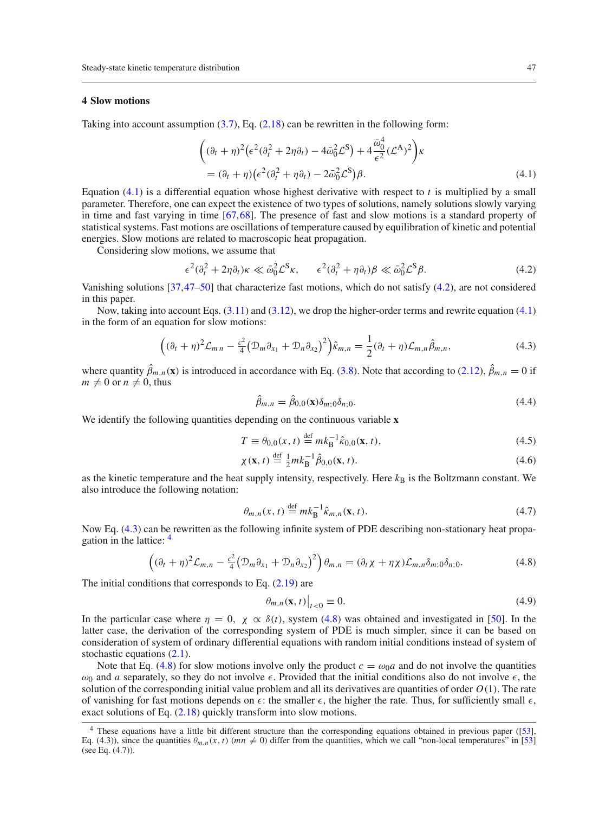## <span id="page-6-0"></span>**4 Slow motions**

Taking into account assumption  $(3.7)$ , Eq.  $(2.18)$  can be rewritten in the following form:

<span id="page-6-1"></span>
$$
\begin{aligned} \left( (\partial_t + \eta)^2 \left( \epsilon^2 (\partial_t^2 + 2\eta \partial_t) - 4\bar{\omega}_0^2 \mathcal{L}^S \right) + 4 \frac{\bar{\omega}_0^4}{\epsilon^2} (\mathcal{L}^A)^2 \right) &\kappa \\ &= (\partial_t + \eta) \left( \epsilon^2 (\partial_t^2 + \eta \partial_t) - 2\bar{\omega}_0^2 \mathcal{L}^S \right) &\beta. \end{aligned} \tag{4.1}
$$

Equation [\(4.1\)](#page-6-1) is a differential equation whose highest derivative with respect to *t* is multiplied by a small parameter. Therefore, one can expect the existence of two types of solutions, namely solutions slowly varying in time and fast varying in time [\[67](#page-19-25),[68\]](#page-19-26). The presence of fast and slow motions is a standard property of statistical systems. Fast motions are oscillations of temperature caused by equilibration of kinetic and potential energies. Slow motions are related to macroscopic heat propagation.

Considering slow motions, we assume that

<span id="page-6-2"></span>
$$
\epsilon^2(\partial_t^2 + 2\eta \partial_t)\kappa \ll \bar{\omega}_0^2 \mathcal{L}^S \kappa, \qquad \epsilon^2(\partial_t^2 + \eta \partial_t)\beta \ll \bar{\omega}_0^2 \mathcal{L}^S \beta.
$$
 (4.2)

Vanishing solutions [\[37](#page-19-1)[,47](#page-19-8)[–50\]](#page-19-12) that characterize fast motions, which do not satisfy [\(4.2\)](#page-6-2), are not considered in this paper.

Now, taking into account Eqs. [\(3.11\)](#page-5-2) and [\(3.12\)](#page-5-2), we drop the higher-order terms and rewrite equation [\(4.1\)](#page-6-1) in the form of an equation for slow motions:

<span id="page-6-3"></span>
$$
((\partial_t + \eta)^2 \mathcal{L}_{m\,n} - \frac{c^2}{4} \big( \mathcal{D}_m \partial_{x_1} + \mathcal{D}_n \partial_{x_2} \big)^2 \big) \hat{\kappa}_{m,n} = \frac{1}{2} (\partial_t + \eta) \mathcal{L}_{m,n} \hat{\beta}_{m,n},
$$
(4.3)

where quantity  $\beta_{m,n}(\mathbf{x})$  is introduced in accordance with Eq. [\(3.8\)](#page-5-3). Note that according to [\(2.12\)](#page-3-8),  $\beta_{m,n} = 0$  if  $m \neq 0$  or  $n \neq 0$ , thus

$$
\hat{\beta}_{m,n} = \hat{\beta}_{0,0}(\mathbf{x}) \delta_{m;0} \delta_{n;0}.
$$
\n(4.4)

We identify the following quantities depending on the continuous variable **x**

<span id="page-6-8"></span>
$$
T \equiv \theta_{0,0}(x,t) \stackrel{\text{def}}{=} m k_{\text{B}}^{-1} \hat{\kappa}_{0,0}(\mathbf{x},t), \tag{4.5}
$$

$$
\chi(\mathbf{x}, t) \stackrel{\text{def}}{=} \frac{1}{2} m k_{\text{B}}^{-1} \hat{\beta}_{0,0}(\mathbf{x}, t). \tag{4.6}
$$

as the kinetic temperature and the heat supply intensity, respectively. Here  $k_B$  is the Boltzmann constant. We also introduce the following notation:

<span id="page-6-7"></span>
$$
\theta_{m,n}(x,t) \stackrel{\text{def}}{=} mk_{\mathcal{B}}^{-1} \hat{\kappa}_{m,n}(\mathbf{x},t). \tag{4.7}
$$

Now Eq. [\(4.3\)](#page-6-3) can be rewritten as the following infinite system of PDE describing non-stationary heat propagation in the lattice: [4](#page-6-4)

<span id="page-6-5"></span>
$$
\left( (\partial_t + \eta)^2 \mathcal{L}_{m,n} - \frac{c^2}{4} \left( \mathcal{D}_m \partial_{x_1} + \mathcal{D}_n \partial_{x_2} \right)^2 \right) \theta_{m,n} = (\partial_t \chi + \eta \chi) \mathcal{L}_{m,n} \delta_{m;0} \delta_{n;0}.
$$
\n(4.8)

The initial conditions that corresponds to Eq.  $(2.19)$  are

<span id="page-6-6"></span>
$$
\left.\theta_{m,n}(\mathbf{x},t)\right|_{t<0}\equiv 0.\tag{4.9}
$$

In the particular case where  $\eta = 0$ ,  $\chi \propto \delta(t)$ , system [\(4.8\)](#page-6-5) was obtained and investigated in [\[50](#page-19-12)]. In the latter case, the derivation of the corresponding system of PDE is much simpler, since it can be based on consideration of system of ordinary differential equations with random initial conditions instead of system of stochastic equations [\(2.1\)](#page-2-3).

Note that Eq. [\(4.8\)](#page-6-5) for slow motions involve only the product  $c = \omega_0 a$  and do not involve the quantities  $\omega_0$  and *a* separately, so they do not involve  $\epsilon$ . Provided that the initial conditions also do not involve  $\epsilon$ , the solution of the corresponding initial value problem and all its derivatives are quantities of order *O*(1). The rate of vanishing for fast motions depends on  $\epsilon$ : the smaller  $\epsilon$ , the higher the rate. Thus, for sufficiently small  $\epsilon$ , exact solutions of Eq.  $(2.18)$  quickly transform into slow motions.

<span id="page-6-4"></span><sup>&</sup>lt;sup>4</sup> These equations have a little bit different structure than the corresponding equations obtained in previous paper ([\[53\]](#page-19-13), Eq. (4.3)), since the quantities  $\theta_{m,n}(x, t)$  ( $mn \neq 0$ ) differ from the quantities, which we call "non-local temperatures" in [\[53\]](#page-19-13) (see Eq. (4.7)).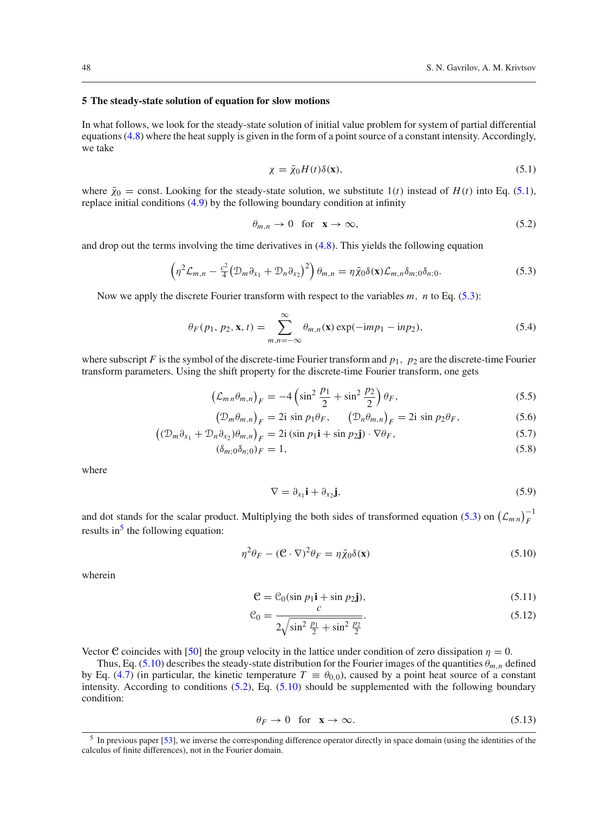#### <span id="page-7-0"></span>**5 The steady-state solution of equation for slow motions**

In what follows, we look for the steady-state solution of initial value problem for system of partial differential equations [\(4.8\)](#page-6-5) where the heat supply is given in the form of a point source of a constant intensity. Accordingly, we take

<span id="page-7-1"></span>
$$
\chi = \bar{\chi}_0 H(t) \delta(\mathbf{x}),\tag{5.1}
$$

where  $\bar{\chi}_0$  = const. Looking for the steady-state solution, we substitute 1(*t*) instead of *H*(*t*) into Eq. [\(5.1\)](#page-7-1), replace initial conditions [\(4.9\)](#page-6-6) by the following boundary condition at infinity

<span id="page-7-5"></span>
$$
\theta_{m,n} \to 0 \quad \text{for} \quad \mathbf{x} \to \infty,\tag{5.2}
$$

and drop out the terms involving the time derivatives in  $(4.8)$ . This yields the following equation

<span id="page-7-2"></span>
$$
\left(\eta^2 \mathcal{L}_{m,n} - \frac{c^2}{4} \left(\mathcal{D}_m \partial_{x_1} + \mathcal{D}_n \partial_{x_2}\right)^2\right) \theta_{m,n} = \eta \bar{\chi}_0 \delta(\mathbf{x}) \mathcal{L}_{m,n} \delta_{m;0} \delta_{n;0}.
$$
\n(5.3)

Now we apply the discrete Fourier transform with respect to the variables *m*, *n* to Eq. [\(5.3\)](#page-7-2):

$$
\theta_F(p_1, p_2, \mathbf{x}, t) = \sum_{m,n=-\infty}^{\infty} \theta_{m,n}(\mathbf{x}) \exp(-\mathrm{i}mp_1 - \mathrm{i}np_2), \tag{5.4}
$$

where subscript *F* is the symbol of the discrete-time Fourier transform and  $p_1$ ,  $p_2$  are the discrete-time Fourier transform parameters. Using the shift property for the discrete-time Fourier transform, one gets

$$
\left(\mathcal{L}_{m n}\theta_{m,n}\right)_{F} = -4\left(\sin^{2}\frac{p_{1}}{2} + \sin^{2}\frac{p_{2}}{2}\right)\theta_{F},\tag{5.5}
$$

$$
\left(\mathcal{D}_m \theta_{m,n}\right)_F = 2i \sin p_1 \theta_F, \qquad \left(\mathcal{D}_n \theta_{m,n}\right)_F = 2i \sin p_2 \theta_F,\tag{5.6}
$$

$$
\left((\mathcal{D}_m \partial_{x_1} + \mathcal{D}_n \partial_{x_2})\theta_{m,n}\right)_F = 2i\left(\sin p_1 \mathbf{i} + \sin p_2 \mathbf{j}\right) \cdot \nabla \theta_F,\tag{5.7}
$$

$$
(\delta_{m;0}\delta_{n;0})_F = 1,\tag{5.8}
$$

where

$$
\nabla = \partial_{x_1} \mathbf{i} + \partial_{x_2} \mathbf{j},\tag{5.9}
$$

and dot stands for the scalar product. Multiplying the both sides of transformed equation [\(5.3\)](#page-7-2) on  $(\mathcal{L}_{mn})_F^{-1}$ results in<sup>[5](#page-7-3)</sup> the following equation:

<span id="page-7-4"></span>
$$
\eta^2 \theta_F - (\mathbf{C} \cdot \nabla)^2 \theta_F = \eta \bar{\chi}_0 \delta(\mathbf{x}) \tag{5.10}
$$

wherein

<span id="page-7-7"></span>
$$
\mathbf{C} = \mathbf{C}_0(\sin p_1 \mathbf{i} + \sin p_2 \mathbf{j}),\tag{5.11}
$$

$$
\mathcal{C}_0 = \frac{c}{2\sqrt{\sin^2\frac{p_1}{2} + \sin^2\frac{p_2}{2}}}.\tag{5.12}
$$

Vector **C** coincides with [\[50](#page-19-12)] the group velocity in the lattice under condition of zero dissipation  $\eta = 0$ .

Thus, Eq. [\(5.10\)](#page-7-4) describes the steady-state distribution for the Fourier images of the quantities  $\theta_{m,n}$  defined by Eq. [\(4.7\)](#page-6-7) (in particular, the kinetic temperature  $T \equiv \theta_{0,0}$ ), caused by a point heat source of a constant intensity. According to conditions [\(5.2\)](#page-7-5), Eq. [\(5.10\)](#page-7-4) should be supplemented with the following boundary condition:

<span id="page-7-6"></span>
$$
\theta_F \to 0 \quad \text{for} \quad \mathbf{x} \to \infty. \tag{5.13}
$$

<span id="page-7-3"></span><sup>5</sup> In previous paper [\[53](#page-19-13)], we inverse the corresponding difference operator directly in space domain (using the identities of the calculus of finite differences), not in the Fourier domain.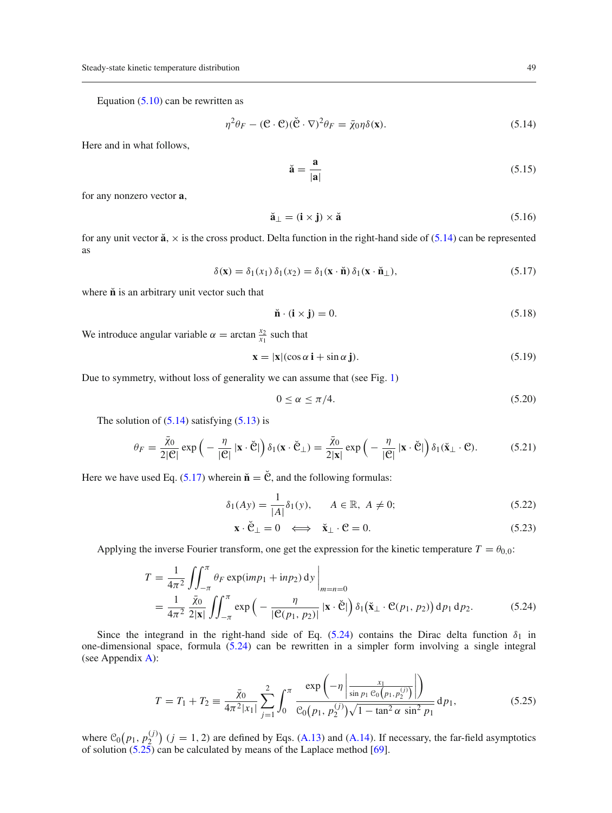Equation  $(5.10)$  can be rewritten as

<span id="page-8-0"></span>
$$
\eta^2 \theta_F - (\mathbf{C} \cdot \mathbf{C})(\breve{\mathbf{C}} \cdot \nabla)^2 \theta_F = \bar{\chi}_0 \eta \delta(\mathbf{x}).\tag{5.14}
$$

Here and in what follows,

$$
\breve{\mathbf{a}} = \frac{\mathbf{a}}{|\mathbf{a}|} \tag{5.15}
$$

for any nonzero vector **a**,

$$
\breve{\mathbf{a}}_{\perp} = (\mathbf{i} \times \mathbf{j}) \times \breve{\mathbf{a}} \tag{5.16}
$$

for any unit vector  $\ddot{a}$ ,  $\times$  is the cross product. Delta function in the right-hand side of [\(5.14\)](#page-8-0) can be represented as

<span id="page-8-1"></span>
$$
\delta(\mathbf{x}) = \delta_1(x_1) \, \delta_1(x_2) = \delta_1(\mathbf{x} \cdot \mathbf{\check{n}}) \, \delta_1(\mathbf{x} \cdot \mathbf{\check{n}}_\perp),\tag{5.17}
$$

where  $\check{\mathbf{n}}$  is an arbitrary unit vector such that

$$
\mathbf{\check{n}} \cdot (\mathbf{i} \times \mathbf{j}) = 0. \tag{5.18}
$$

We introduce angular variable  $\alpha = \arctan \frac{x_2}{x_1}$  such that

$$
\mathbf{x} = |\mathbf{x}|(\cos \alpha \, \mathbf{i} + \sin \alpha \, \mathbf{j}).\tag{5.19}
$$

Due to symmetry, without loss of generality we can assume that (see Fig. [1\)](#page-1-1)

<span id="page-8-4"></span>
$$
0 \le \alpha \le \pi/4. \tag{5.20}
$$

The solution of  $(5.14)$  satisfying  $(5.13)$  is

$$
\theta_F = \frac{\bar{\chi}_0}{2|\mathcal{C}|} \exp\left(-\frac{\eta}{|\mathcal{C}|} \left|\mathbf{x} \cdot \check{\mathcal{C}}\right|\right) \delta_1(\mathbf{x} \cdot \check{\mathcal{C}}_\perp) = \frac{\bar{\chi}_0}{2|\mathbf{x}|} \exp\left(-\frac{\eta}{|\mathcal{C}|} \left|\mathbf{x} \cdot \check{\mathcal{C}}\right|\right) \delta_1(\check{\mathbf{x}}_\perp \cdot \mathcal{C}).\tag{5.21}
$$

Here we have used Eq. [\(5.17\)](#page-8-1) wherein  $\check{\mathbf{n}} = \check{\mathbf{C}}$ , and the following formulas:

$$
\delta_1(Ay) = \frac{1}{|A|} \delta_1(y), \qquad A \in \mathbb{R}, \ A \neq 0; \tag{5.22}
$$

$$
\mathbf{x} \cdot \check{\mathbf{C}}_{\perp} = 0 \iff \check{\mathbf{x}}_{\perp} \cdot \mathbf{C} = 0. \tag{5.23}
$$

 $\ddot{\phantom{a}}$ 

Applying the inverse Fourier transform, one get the expression for the kinetic temperature  $T = \theta_{0,0}$ :

<span id="page-8-2"></span>
$$
T = \frac{1}{4\pi^2} \iint_{-\pi}^{\pi} \theta_F \exp(imp_1 + inp_2) \, \mathrm{d}y \Big|_{m=n=0}
$$
  
= 
$$
\frac{1}{4\pi^2} \frac{\bar{\chi}_0}{2|\mathbf{x}|} \iint_{-\pi}^{\pi} \exp\left(-\frac{\eta}{|\mathcal{C}(p_1, p_2)|} |\mathbf{x} \cdot \check{\mathcal{C}}|\right) \delta_1(\check{\mathbf{x}}_\perp \cdot \mathcal{C}(p_1, p_2)) \, \mathrm{d}p_1 \, \mathrm{d}p_2.
$$
 (5.24)

Since the integrand in the right-hand side of Eq. [\(5.24\)](#page-8-2) contains the Dirac delta function  $\delta_1$  in one-dimensional space, formula [\(5.24\)](#page-8-2) can be rewritten in a simpler form involving a single integral (see Appendix [A\)](#page-0-0):

<span id="page-8-3"></span>
$$
T = T_1 + T_2 \equiv \frac{\bar{\chi}_0}{4\pi^2|x_1|} \sum_{j=1}^2 \int_0^\pi \frac{\exp\left(-\eta \left|\frac{x_1}{\sin p_1 \mathcal{C}_0(p_1, p_2^{(j)})}\right|\right)}{\mathcal{C}_0(p_1, p_2^{(j)})\sqrt{1 - \tan^2 \alpha \sin^2 p_1}} dp_1,
$$
(5.25)

where  $C_0(p_1, p_2^{(j)})$  ( $j = 1, 2$ ) are defined by Eqs. [\(A.13\)](#page-16-0) and [\(A.14\)](#page-16-0). If necessary, the far-field asymptotics of solution  $(5.25)$  can be calculated by means of the Laplace method  $[69]$  $[69]$ .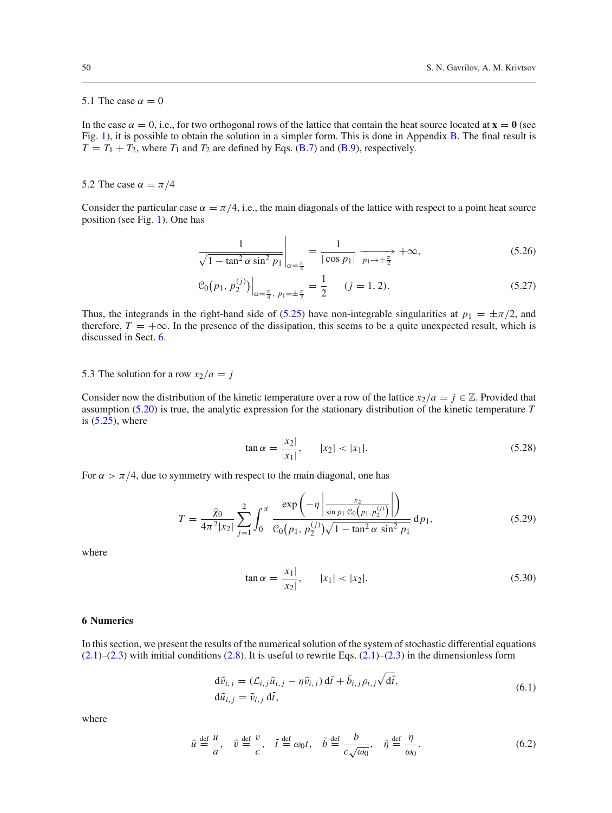## 5.1 The case  $\alpha = 0$

In the case  $\alpha = 0$ , i.e., for two orthogonal rows of the lattice that contain the heat source located at  $\mathbf{x} = \mathbf{0}$  (see Fig. [1\)](#page-1-1), it is possible to obtain the solution in a simpler form. This is done in Appendix [B.](#page-2-0) The final result is  $T = T_1 + T_2$ , where  $T_1$  and  $T_2$  are defined by Eqs. [\(B.7\)](#page-3-4) and [\(B.9\)](#page-3-3), respectively.

<span id="page-9-2"></span>5.2 The case  $\alpha = \pi/4$ 

Consider the particular case  $\alpha = \pi/4$ , i.e., the main diagonals of the lattice with respect to a point heat source position (see Fig. [1\)](#page-1-1). One has

$$
\frac{1}{\sqrt{1 - \tan^2 \alpha \sin^2 p_1}} \bigg|_{\alpha = \frac{\pi}{4}} = \frac{1}{|\cos p_1|} \xrightarrow[p_1 \to \pm \frac{\pi}{2}]{} + \infty,
$$
\n(5.26)

$$
\mathcal{C}_0(p_1, p_2^{(j)})\Big|_{\alpha=\frac{\pi}{4}, p_1=\pm\frac{\pi}{2}} = \frac{1}{2} \qquad (j=1,2). \tag{5.27}
$$

Thus, the integrands in the right-hand side of [\(5.25\)](#page-8-3) have non-integrable singularities at  $p_1 = \pm \pi/2$ , and therefore,  $T = +\infty$ . In the presence of the dissipation, this seems to be a quite unexpected result, which is discussed in Sect. [6.](#page-9-0)

5.3 The solution for a row  $x_2/a = j$ 

Consider now the distribution of the kinetic temperature over a row of the lattice  $x_2/a = j \in \mathbb{Z}$ . Provided that assumption [\(5.20\)](#page-8-4) is true, the analytic expression for the stationary distribution of the kinetic temperature *T* is  $(5.25)$ , where

$$
\tan \alpha = \frac{|x_2|}{|x_1|}, \qquad |x_2| < |x_1|. \tag{5.28}
$$

 $\ddot{\phantom{a}}$ 

For  $\alpha > \pi/4$ , due to symmetry with respect to the main diagonal, one has

<span id="page-9-1"></span>
$$
T = \frac{\bar{\chi}_0}{4\pi^2 |x_2|} \sum_{j=1}^2 \int_0^{\pi} \frac{\exp\left(-\eta \left|\frac{x_2}{\sin p_1 \mathcal{C}_0(p_1, p_2^{(j)})}\right|\right)}{\mathcal{C}_0(p_1, p_2^{(j)}) \sqrt{1 - \tan^2 \alpha \sin^2 p_1}} dp_1,
$$
(5.29)

where

$$
\tan \alpha = \frac{|x_1|}{|x_2|}, \qquad |x_1| < |x_2|. \tag{5.30}
$$

### <span id="page-9-0"></span>**6 Numerics**

In this section, we present the results of the numerical solution of the system of stochastic differential equations  $(2.1)$ – $(2.3)$  with initial conditions  $(2.8)$ . It is useful to rewrite Eqs.  $(2.1)$ – $(2.3)$  in the dimensionless form

$$
d\tilde{v}_{i,j} = (\mathcal{L}_{i,j}\tilde{u}_{i,j} - \eta \tilde{v}_{i,j}) d\tilde{t} + \tilde{b}_{i,j}\rho_{i,j}\sqrt{d\tilde{t}},
$$
  
\n
$$
d\tilde{u}_{i,j} = \tilde{v}_{i,j} d\tilde{t},
$$
\n(6.1)

$$
\tilde{u} \stackrel{\text{def}}{=} \frac{u}{a}, \quad \tilde{v} \stackrel{\text{def}}{=} \frac{v}{c}, \quad \tilde{t} \stackrel{\text{def}}{=} \omega_0 t, \quad \tilde{b} \stackrel{\text{def}}{=} \frac{b}{c\sqrt{\omega_0}}, \quad \tilde{\eta} \stackrel{\text{def}}{=} \frac{\eta}{\omega_0}.
$$
\n(6.2)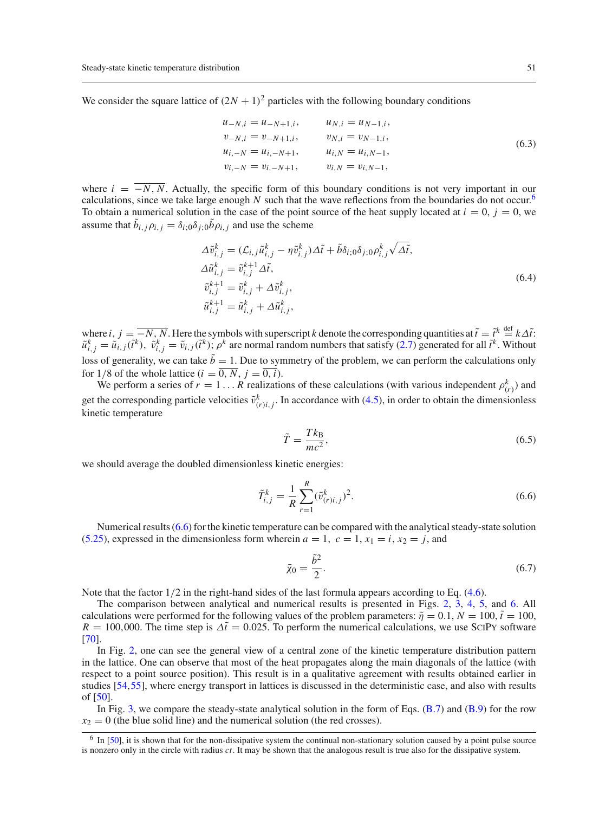We consider the square lattice of  $(2N + 1)^2$  particles with the following boundary conditions

$$
u_{-N,i} = u_{-N+1,i}, \t u_{N,i} = u_{N-1,i},
$$
  
\n
$$
v_{-N,i} = v_{-N+1,i}, \t v_{N,i} = v_{N-1,i},
$$
  
\n
$$
u_{i,-N} = u_{i,-N+1}, \t u_{i,N} = u_{i,N-1},
$$
  
\n
$$
v_{i,-N} = v_{i,-N+1}, \t v_{i,N} = v_{i,N-1},
$$
  
\n(6.3)

where  $i = \overline{-N, N}$ . Actually, the specific form of this boundary conditions is not very important in our calculations, since we take large enough *N* such that the wave reflections from the boundaries do not occur.<sup>[6](#page-10-0)</sup> To obtain a numerical solution in the case of the point source of the heat supply located at  $i = 0$ ,  $j = 0$ , we assume that  $b_{i,j} \rho_{i,j} = \delta_{i;0} \delta_{j;0} b \rho_{i,j}$  and use the scheme

$$
\Delta \tilde{v}_{i,j}^k = (\mathcal{L}_{i,j}\tilde{u}_{i,j}^k - \eta \tilde{v}_{i,j}^k) \Delta \tilde{t} + \tilde{b}\delta_{i,0}\delta_{j,0}\rho_{i,j}^k \sqrt{\Delta \tilde{t}},
$$
  
\n
$$
\Delta \tilde{u}_{i,j}^k = \tilde{v}_{i,j}^{k+1} \Delta \tilde{t},
$$
  
\n
$$
\tilde{v}_{i,j}^{k+1} = \tilde{v}_{i,j}^k + \Delta \tilde{v}_{i,j}^k,
$$
  
\n
$$
\tilde{u}_{i,j}^{k+1} = \tilde{u}_{i,j}^k + \Delta \tilde{u}_{i,j}^k,
$$
\n(6.4)

where  $i, j = -N, N$ . Here the symbols with superscript *k* denote the corresponding quantities at  $\tilde{t} = \tilde{t}^k \stackrel{\text{def}}{=} k\Delta \tilde{t}$ :  $\tilde{u}_{i,j}^k = \tilde{u}_{i,j}(\tilde{t}^k)$ ,  $\tilde{v}_{i,j}^k = \tilde{v}_{i,j}(\tilde{t}^k)$ ;  $\rho^k$  are normal random numbers that satisfy [\(2.7\)](#page-3-4) generated for all  $\tilde{t}^k$ . Without loss of generality, we can take  $\tilde{b} = 1$ . Due to symmetry of the problem, we can perform the calculations only for 1/8 of the whole lattice  $(i = \overline{0, N}, j = \overline{0, i})$ .

We perform a series of  $r = 1...R$  realizations of these calculations (with various independent  $\rho_{(r)}^k$ ) and get the corresponding particle velocities  $\tilde{v}^k_{(r)i,j}$ . In accordance with [\(4.5\)](#page-6-8), in order to obtain the dimensionless kinetic temperature

$$
\tilde{T} = \frac{Tk_{\text{B}}}{mc^2},\tag{6.5}
$$

we should average the doubled dimensionless kinetic energies:

<span id="page-10-1"></span>
$$
\tilde{T}_{i,j}^k = \frac{1}{R} \sum_{r=1}^R (\tilde{v}_{(r)i,j}^k)^2.
$$
\n(6.6)

Numerical results [\(6.6\)](#page-10-1) for the kinetic temperature can be compared with the analytical steady-state solution [\(5.25\)](#page-8-3), expressed in the dimensionless form wherein  $a = 1$ ,  $c = 1$ ,  $x_1 = i$ ,  $x_2 = j$ , and

$$
\bar{\chi}_0 = \frac{\tilde{b}^2}{2}.\tag{6.7}
$$

Note that the factor  $1/2$  in the right-hand sides of the last formula appears according to Eq. [\(4.6\)](#page-6-8).

The comparison between analytical and numerical results is presented in Figs. [2,](#page-11-0) [3,](#page-11-1) [4,](#page-12-0) [5,](#page-12-1) and [6.](#page-13-1) All calculations were performed for the following values of the problem parameters:  $\tilde{\eta} = 0.1, N = 100, \tilde{t} = 100$ ,  $R = 100,000$ . The time step is  $\Delta \tilde{t} = 0.025$ . To perform the numerical calculations, we use SCIPY software [\[70](#page-19-28)].

In Fig. [2,](#page-11-0) one can see the general view of a central zone of the kinetic temperature distribution pattern in the lattice. One can observe that most of the heat propagates along the main diagonals of the lattice (with respect to a point source position). This result is in a qualitative agreement with results obtained earlier in studies [\[54](#page-19-14)[,55\]](#page-19-29), where energy transport in lattices is discussed in the deterministic case, and also with results of [\[50](#page-19-12)].

In Fig. [3,](#page-11-1) we compare the steady-state analytical solution in the form of Eqs.  $(B.7)$  and  $(B.9)$  for the row  $x_2 = 0$  (the blue solid line) and the numerical solution (the red crosses).

<span id="page-10-0"></span><sup>&</sup>lt;sup>6</sup> In [\[50\]](#page-19-12), it is shown that for the non-dissipative system the continual non-stationary solution caused by a point pulse source is nonzero only in the circle with radius *ct*. It may be shown that the analogous result is true also for the dissipative system.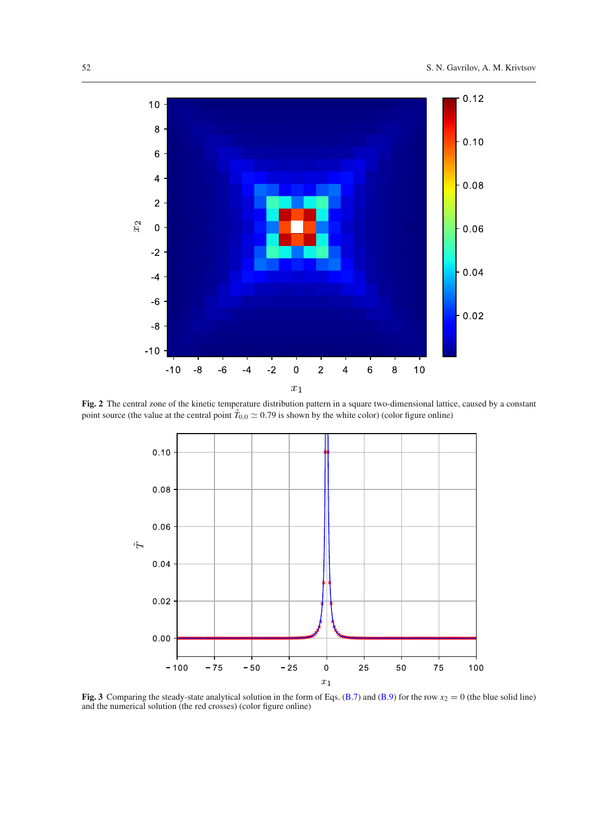

<span id="page-11-0"></span>**Fig. 2** The central zone of the kinetic temperature distribution pattern in a square two-dimensional lattice, caused by a constant point source (the value at the central point  $T_{0,0} \simeq 0.79$  is shown by the white color) (color figure online)



<span id="page-11-1"></span>**Fig. 3** Comparing the steady-state analytical solution in the form of Eqs. [\(B.7\)](#page-3-4) and [\(B.9\)](#page-3-3) for the row  $x_2 = 0$  (the blue solid line) and the numerical solution (the red crosses) (color figure online)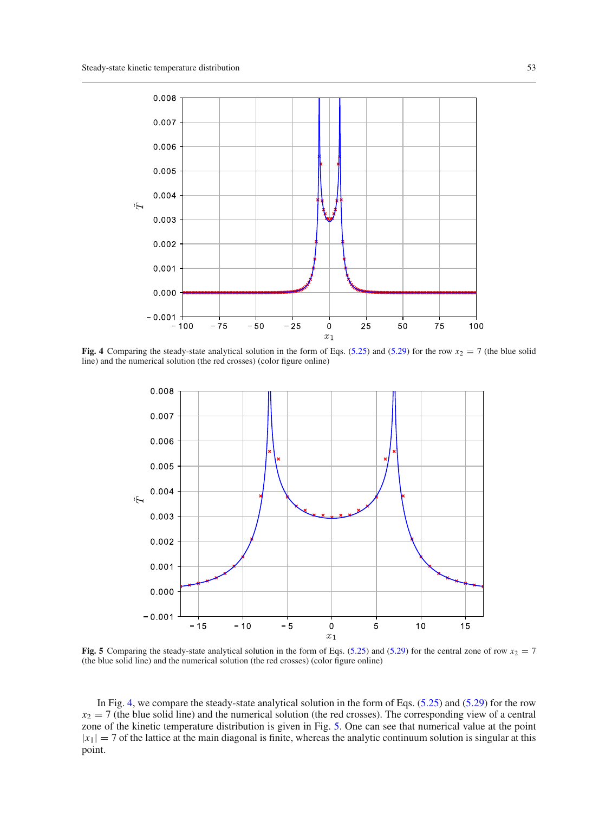

<span id="page-12-0"></span>**Fig. 4** Comparing the steady-state analytical solution in the form of Eqs. [\(5.25\)](#page-8-3) and [\(5.29\)](#page-9-1) for the row  $x_2 = 7$  (the blue solid line) and the numerical solution (the red crosses) (color figure online)



<span id="page-12-1"></span>**Fig. 5** Comparing the steady-state analytical solution in the form of Eqs. [\(5.25\)](#page-8-3) and [\(5.29\)](#page-9-1) for the central zone of row  $x_2 = 7$ (the blue solid line) and the numerical solution (the red crosses) (color figure online)

In Fig. [4,](#page-12-0) we compare the steady-state analytical solution in the form of Eqs. [\(5.25\)](#page-8-3) and [\(5.29\)](#page-9-1) for the row  $x_2 = 7$  (the blue solid line) and the numerical solution (the red crosses). The corresponding view of a central zone of the kinetic temperature distribution is given in Fig. [5.](#page-12-1) One can see that numerical value at the point  $|x_1| = 7$  of the lattice at the main diagonal is finite, whereas the analytic continuum solution is singular at this point.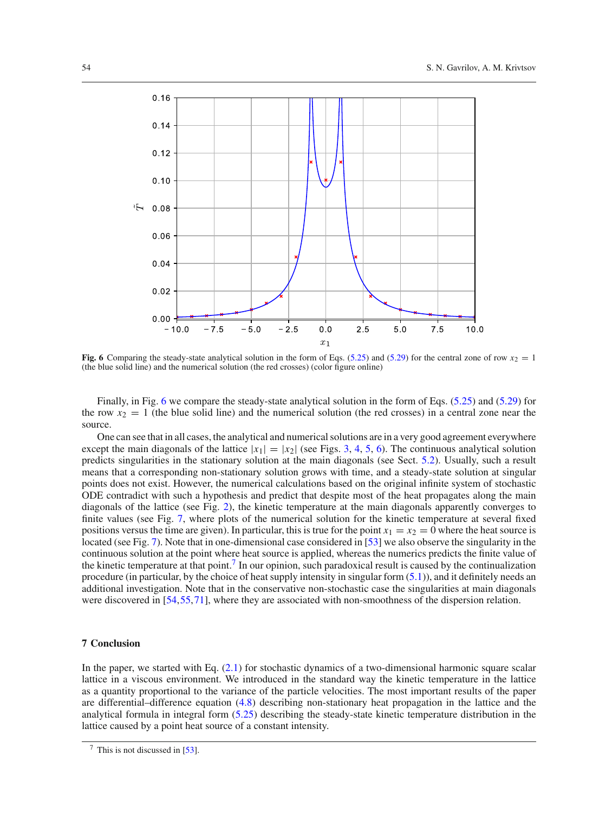

<span id="page-13-1"></span>**Fig. 6** Comparing the steady-state analytical solution in the form of Eqs. [\(5.25\)](#page-8-3) and [\(5.29\)](#page-9-1) for the central zone of row  $x_2 = 1$ (the blue solid line) and the numerical solution (the red crosses) (color figure online)

Finally, in Fig. [6](#page-13-1) we compare the steady-state analytical solution in the form of Eqs. [\(5.25\)](#page-8-3) and [\(5.29\)](#page-9-1) for the row  $x_2 = 1$  (the blue solid line) and the numerical solution (the red crosses) in a central zone near the source.

One can see that in all cases, the analytical and numerical solutions are in a very good agreement everywhere except the main diagonals of the lattice  $|x_1|=|x_2|$  (see Figs. [3,](#page-11-1) [4,](#page-12-0) [5,](#page-12-1) [6\)](#page-13-1). The continuous analytical solution predicts singularities in the stationary solution at the main diagonals (see Sect. [5.2\)](#page-9-2). Usually, such a result means that a corresponding non-stationary solution grows with time, and a steady-state solution at singular points does not exist. However, the numerical calculations based on the original infinite system of stochastic ODE contradict with such a hypothesis and predict that despite most of the heat propagates along the main diagonals of the lattice (see Fig. [2\)](#page-11-0), the kinetic temperature at the main diagonals apparently converges to finite values (see Fig. [7,](#page-14-0) where plots of the numerical solution for the kinetic temperature at several fixed positions versus the time are given). In particular, this is true for the point  $x_1 = x_2 = 0$  where the heat source is located (see Fig. [7\)](#page-14-0). Note that in one-dimensional case considered in [\[53](#page-19-13)] we also observe the singularity in the continuous solution at the point where heat source is applied, whereas the numerics predicts the finite value of the kinetic temperature at that point[.7](#page-13-2) In our opinion, such paradoxical result is caused by the continualization procedure (in particular, by the choice of heat supply intensity in singular form [\(5.1\)](#page-7-1)), and it definitely needs an additional investigation. Note that in the conservative non-stochastic case the singularities at main diagonals were discovered in [\[54](#page-19-14),[55,](#page-19-29)[71](#page-19-30)], where they are associated with non-smoothness of the dispersion relation.

## <span id="page-13-0"></span>**7 Conclusion**

In the paper, we started with Eq. [\(2.1\)](#page-2-3) for stochastic dynamics of a two-dimensional harmonic square scalar lattice in a viscous environment. We introduced in the standard way the kinetic temperature in the lattice as a quantity proportional to the variance of the particle velocities. The most important results of the paper are differential–difference equation [\(4.8\)](#page-6-5) describing non-stationary heat propagation in the lattice and the analytical formula in integral form [\(5.25\)](#page-8-3) describing the steady-state kinetic temperature distribution in the lattice caused by a point heat source of a constant intensity.

<span id="page-13-2"></span> $\frac{7}{1}$  This is not discussed in [\[53](#page-19-13)].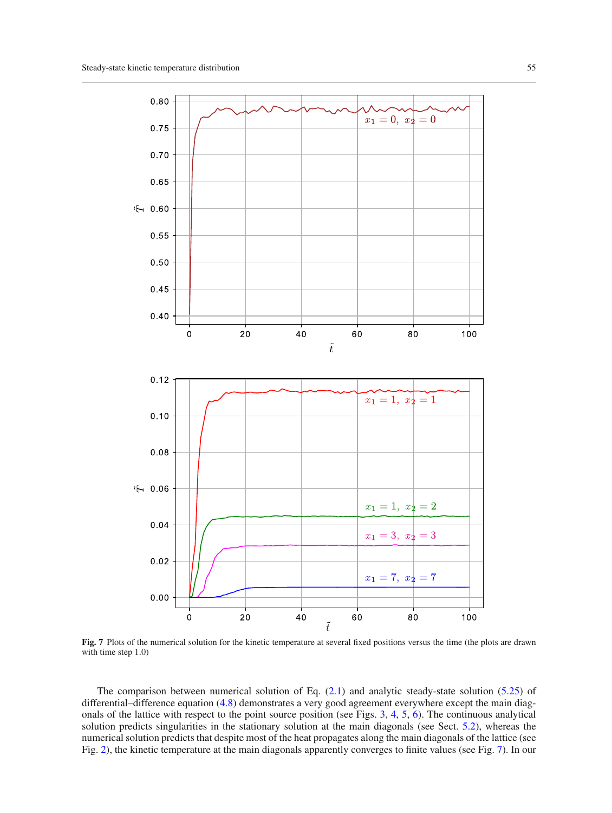

<span id="page-14-0"></span>**Fig. 7** Plots of the numerical solution for the kinetic temperature at several fixed positions versus the time (the plots are drawn with time step 1.0)

The comparison between numerical solution of Eq.  $(2.1)$  and analytic steady-state solution [\(5.25\)](#page-8-3) of differential–difference equation [\(4.8\)](#page-6-5) demonstrates a very good agreement everywhere except the main diagonals of the lattice with respect to the point source position (see Figs. [3,](#page-11-1) [4,](#page-12-0) [5,](#page-12-1) [6\)](#page-13-1). The continuous analytical solution predicts singularities in the stationary solution at the main diagonals (see Sect. [5.2\)](#page-9-2), whereas the numerical solution predicts that despite most of the heat propagates along the main diagonals of the lattice (see Fig. [2\)](#page-11-0), the kinetic temperature at the main diagonals apparently converges to finite values (see Fig. [7\)](#page-14-0). In our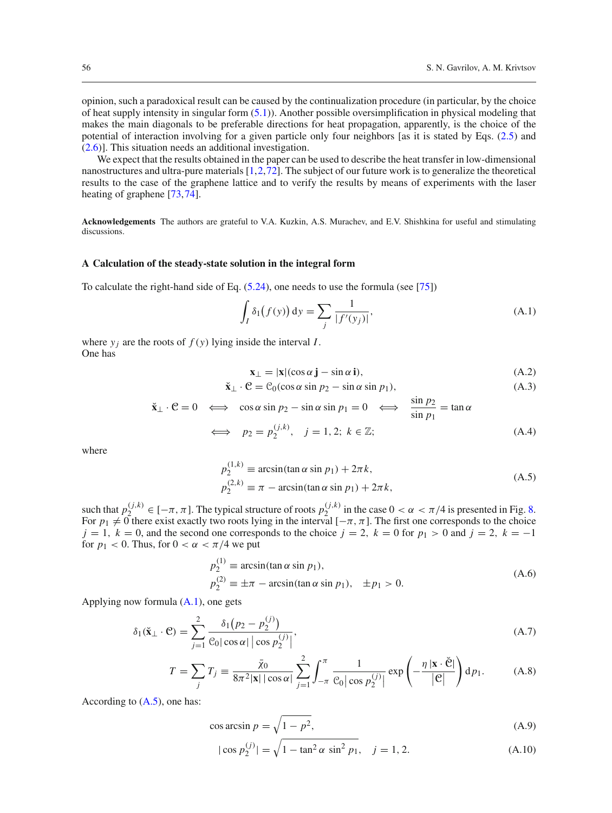opinion, such a paradoxical result can be caused by the continualization procedure (in particular, by the choice of heat supply intensity in singular form [\(5.1\)](#page-7-1)). Another possible oversimplification in physical modeling that makes the main diagonals to be preferable directions for heat propagation, apparently, is the choice of the potential of interaction involving for a given particle only four neighbors [as it is stated by Eqs. [\(2.5\)](#page-3-7) and [\(2.6\)](#page-3-7)]. This situation needs an additional investigation.

We expect that the results obtained in the paper can be used to describe the heat transfer in low-dimensional nanostructures and ultra-pure materials [\[1](#page-18-0)[,2](#page-18-11)[,72\]](#page-20-0). The subject of our future work is to generalize the theoretical results to the case of the graphene lattice and to verify the results by means of experiments with the laser heating of graphene [\[73](#page-20-1)[,74\]](#page-20-2).

**Acknowledgements** The authors are grateful to V.A. Kuzkin, A.S. Murachev, and E.V. Shishkina for useful and stimulating discussions.

### **A Calculation of the steady-state solution in the integral form**

To calculate the right-hand side of Eq. [\(5.24\)](#page-8-2), one needs to use the formula (see [\[75\]](#page-20-3))

<span id="page-15-0"></span>
$$
\int_{I} \delta_{1}(f(y)) dy = \sum_{j} \frac{1}{|f'(y_{j})|},
$$
\n(A.1)

where  $y_i$  are the roots of  $f(y)$  lying inside the interval *I*. One has

$$
\mathbf{x}_{\perp} = |\mathbf{x}|(\cos \alpha \, \mathbf{j} - \sin \alpha \, \mathbf{i}),\tag{A.2}
$$

$$
\check{\mathbf{x}}_{\perp} \cdot \mathcal{C} = \mathcal{C}_0(\cos \alpha \sin p_2 - \sin \alpha \sin p_1),\tag{A.3}
$$

$$
\check{\mathbf{x}}_{\perp} \cdot \mathbf{C} = 0 \iff \cos \alpha \sin p_2 - \sin \alpha \sin p_1 = 0 \iff \frac{\sin p_2}{\sin p_1} = \tan \alpha
$$
\n
$$
\iff p_2 = p_2^{(j,k)}, \quad j = 1, 2; \ k \in \mathbb{Z}; \tag{A.4}
$$

where

<span id="page-15-1"></span>
$$
p_2^{(1,k)} \equiv \arcsin(\tan \alpha \sin p_1) + 2\pi k,
$$
  
\n
$$
p_2^{(2,k)} \equiv \pi - \arcsin(\tan \alpha \sin p_1) + 2\pi k,
$$
\n(A.5)

such that  $p_2^{(j,k)} \in [-\pi, \pi]$ . The typical structure of roots  $p_2^{(j,k)}$  in the case  $0 < \alpha < \pi/4$  is presented in Fig. [8.](#page-16-1) For  $p_1 \neq 0$  there exist exactly two roots lying in the interval  $[-\pi, \pi]$ . The first one corresponds to the choice  $j = 1$ ,  $k = 0$ , and the second one corresponds to the choice  $j = 2$ ,  $k = 0$  for  $p_1 > 0$  and  $j = 2$ ,  $k = -1$ for  $p_1 < 0$ . Thus, for  $0 < \alpha < \pi/4$  we put

$$
p_2^{(1)} \equiv \arcsin(\tan \alpha \sin p_1),
$$
  
\n
$$
p_2^{(2)} \equiv \pm \pi - \arcsin(\tan \alpha \sin p_1), \quad \pm p_1 > 0.
$$
\n(A.6)

Applying now formula [\(A.1\)](#page-15-0), one gets

<span id="page-15-2"></span>
$$
\delta_1(\mathbf{\check{x}}_{\perp} \cdot \mathbf{C}) = \sum_{j=1}^2 \frac{\delta_1(p_2 - p_2^{(j)})}{\mathcal{C}_0 |\cos \alpha| |\cos p_2^{(j)}|},\tag{A.7}
$$

$$
T = \sum_{j} T_{j} \equiv \frac{\bar{\chi}_{0}}{8\pi^{2}|\mathbf{x}| |\cos \alpha|} \sum_{j=1}^{2} \int_{-\pi}^{\pi} \frac{1}{\mathcal{C}_{0} |\cos p_{2}^{(j)}|} \exp\left(-\frac{\eta |\mathbf{x} \cdot \check{\mathbf{C}}|}{|\mathbf{C}|}\right) d p_{1}.
$$
 (A.8)

According to  $(A.5)$ , one has:

$$
\cos \arcsin p = \sqrt{1 - p^2},\tag{A.9}
$$

$$
|\cos p_2^{(j)}| = \sqrt{1 - \tan^2 \alpha \sin^2 p_1}, \quad j = 1, 2. \tag{A.10}
$$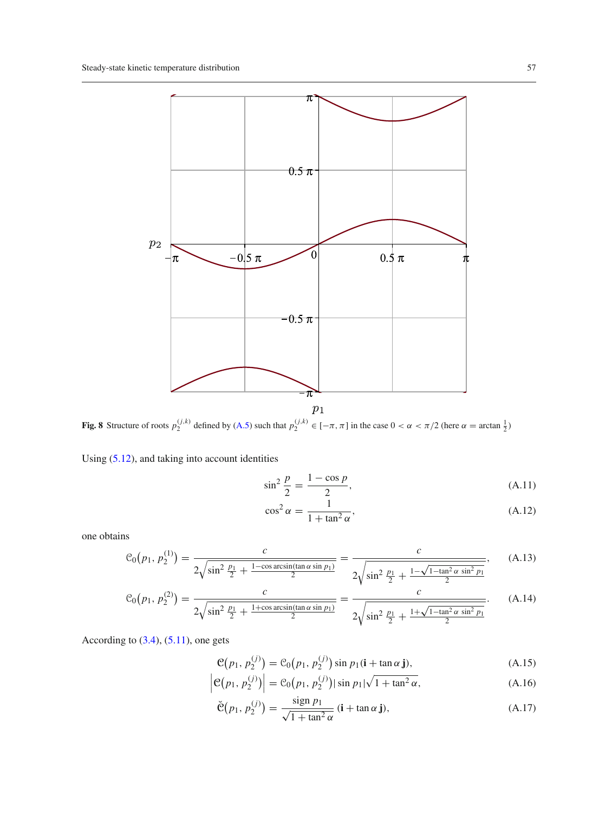

<span id="page-16-1"></span>**Fig. 8** Structure of roots  $p_2^{(j,k)}$  defined by [\(A.5\)](#page-15-1) such that  $p_2^{(j,k)} \in [-\pi, \pi]$  in the case  $0 < \alpha < \pi/2$  (here  $\alpha = \arctan \frac{1}{2}$ )

Using [\(5.12\)](#page-7-7), and taking into account identities

$$
\sin^2 \frac{p}{2} = \frac{1 - \cos p}{2},
$$
\n(A.11)

$$
\cos^2 \alpha = \frac{1}{1 + \tan^2 \alpha},\tag{A.12}
$$

one obtains

<span id="page-16-0"></span>
$$
\mathcal{C}_0(p_1, p_2^{(1)}) = \frac{c}{2\sqrt{\sin^2\frac{p_1}{2} + \frac{1-\cos\arcsin(\tan\alpha\sin p_1)}{2}}} = \frac{c}{2\sqrt{\sin^2\frac{p_1}{2} + \frac{1-\sqrt{1-\tan^2\alpha\sin^2 p_1}}{2}}},\qquad(A.13)
$$

$$
C_0(p_1, p_2^{(2)}) = \frac{c}{2\sqrt{\sin^2\frac{p_1}{2} + \frac{1+\cos\arcsin(\tan\alpha\sin p_1)}{2}}} = \frac{c}{2\sqrt{\sin^2\frac{p_1}{2} + \frac{1+\sqrt{1-\tan^2\alpha\sin^2 p_1}}{2}}}.
$$
(A.14)

According to  $(3.4)$ ,  $(5.11)$ , one gets

$$
\mathcal{C}(p_1, p_2^{(j)}) = \mathcal{C}_0(p_1, p_2^{(j)}) \sin p_1(\mathbf{i} + \tan \alpha \mathbf{j}), \tag{A.15}
$$

$$
\left| \mathcal{C}(p_1, p_2^{(j)}) \right| = \mathcal{C}_0(p_1, p_2^{(j)}) |\sin p_1| \sqrt{1 + \tan^2 \alpha}, \tag{A.16}
$$

$$
\check{\mathfrak{C}}(p_1, p_2^{(j)}) = \frac{\operatorname{sign} p_1}{\sqrt{1 + \tan^2 \alpha}} \left( \mathbf{i} + \tan \alpha \mathbf{j} \right),\tag{A.17}
$$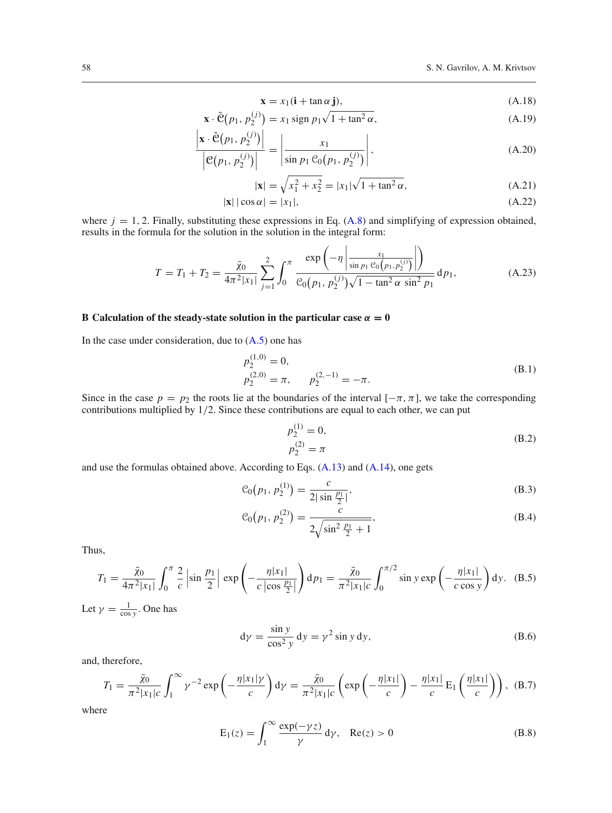$$
\mathbf{x} = x_1(\mathbf{i} + \tan \alpha \mathbf{j}),\tag{A.18}
$$

$$
\mathbf{x} \cdot \check{\mathbf{C}}(p_1, p_2^{(j)}) = x_1 \operatorname{sign} p_1 \sqrt{1 + \tan^2 \alpha},
$$
\n(A.19)

$$
\frac{\left|\mathbf{x} \cdot \check{\mathbf{C}}(p_1, p_2^{(j)})\right|}{\left|\mathbf{C}(p_1, p_2^{(j)})\right|} = \left|\frac{x_1}{\sin p_1 \mathbf{C}_0(p_1, p_2^{(j)})}\right|,\tag{A.20}
$$

$$
|\mathbf{x}| = \sqrt{x_1^2 + x_2^2} = |x_1|\sqrt{1 + \tan^2 \alpha},
$$
\n(A.21)

$$
|\mathbf{x}| |\cos \alpha| = |x_1|,\tag{A.22}
$$

where  $j = 1, 2$ . Finally, substituting these expressions in Eq.  $(A.8)$  and simplifying of expression obtained, results in the formula for the solution in the solution in the integral form:

$$
T = T_1 + T_2 = \frac{\bar{\chi}_0}{4\pi^2|x_1|} \sum_{j=1}^2 \int_0^\pi \frac{\exp\left(-\eta \left|\frac{x_1}{\sin p_1 \mathcal{C}_0(p_1, p_2^{(j)})}\right|\right)}{\mathcal{C}_0(p_1, p_2^{(j)})\sqrt{1 - \tan^2 \alpha \sin^2 p_1}} dp_1,
$$
(A.23)

## **B** Calculation of the steady-state solution in the particular case  $\alpha = 0$

In the case under consideration, due to  $(A.5)$  one has

$$
p_2^{(1,0)} = 0,
$$
  
\n
$$
p_2^{(2,0)} = \pi, \qquad p_2^{(2,-1)} = -\pi.
$$
\n(B.1)

Since in the case  $p = p_2$  the roots lie at the boundaries of the interval  $[-\pi, \pi]$ , we take the corresponding contributions multiplied by 1/2. Since these contributions are equal to each other, we can put

$$
p_2^{(1)} = 0,
$$
  
\n
$$
p_2^{(2)} = \pi
$$
 (B.2)

and use the formulas obtained above. According to Eqs. [\(A.13\)](#page-16-0) and [\(A.14\)](#page-16-0), one gets

$$
\mathcal{C}_0(p_1, p_2^{(1)}) = \frac{c}{2|\sin\frac{p_1}{2}|},\tag{B.3}
$$

$$
\mathcal{C}_0(p_1, p_2^{(2)}) = \frac{c}{2\sqrt{\sin^2\frac{p_1}{2} + 1}},\tag{B.4}
$$

Thus,

$$
T_1 = \frac{\bar{\chi}_0}{4\pi^2 |x_1|} \int_0^{\pi} \frac{2}{c} \left| \sin \frac{p_1}{2} \right| \exp \left( -\frac{\eta |x_1|}{c \left| \cos \frac{p_1}{2} \right|} \right) dp_1 = \frac{\bar{\chi}_0}{\pi^2 |x_1| c} \int_0^{\pi/2} \sin y \exp \left( -\frac{\eta |x_1|}{c \cos y} \right) dy. \quad (B.5)
$$

Let  $\gamma = \frac{1}{\cos y}$ . One has

$$
d\gamma = \frac{\sin y}{\cos^2 y} dy = \gamma^2 \sin y dy,
$$
 (B.6)

and, therefore,

$$
T_1 = \frac{\bar{\chi}_0}{\pi^2 |x_1|c} \int_1^\infty \gamma^{-2} \exp\left(-\frac{\eta |x_1|\gamma}{c}\right) d\gamma = \frac{\bar{\chi}_0}{\pi^2 |x_1|c} \left(\exp\left(-\frac{\eta |x_1|}{c}\right) - \frac{\eta |x_1|}{c} E_1\left(\frac{\eta |x_1|}{c}\right)\right), \quad (B.7)
$$

$$
E_1(z) = \int_1^\infty \frac{\exp(-\gamma z)}{\gamma} d\gamma, \quad \text{Re}(z) > 0 \tag{B.8}
$$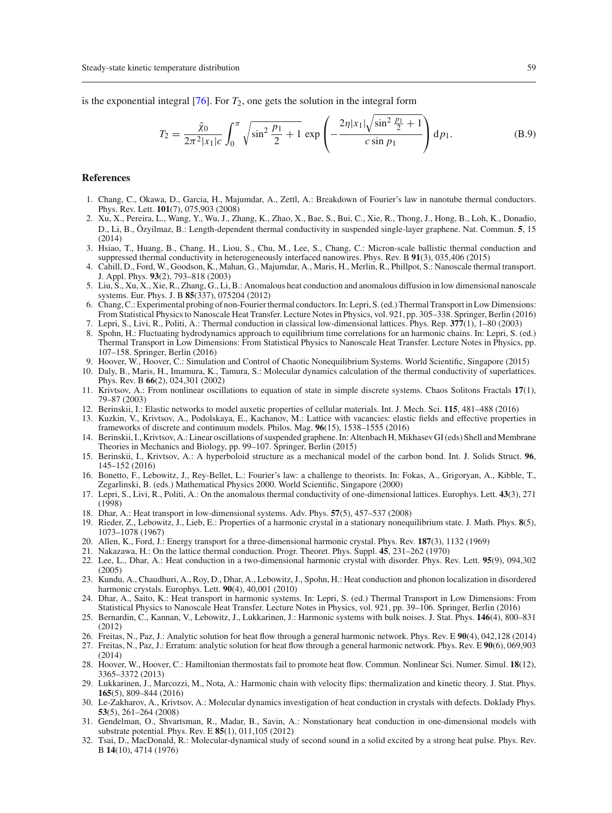is the exponential integral  $[76]$ . For  $T_2$ , one gets the solution in the integral form

$$
T_2 = \frac{\bar{\chi}_0}{2\pi^2 |x_1|c} \int_0^\pi \sqrt{\sin^2 \frac{p_1}{2} + 1} \exp\left(-\frac{2\eta |x_1|\sqrt{\sin^2 \frac{p_1}{2} + 1}}{c \sin p_1}\right) dp_1.
$$
 (B.9)

### **References**

- <span id="page-18-0"></span>1. Chang, C., Okawa, D., Garcia, H., Majumdar, A., Zettl, A.: Breakdown of Fourier's law in nanotube thermal conductors. Phys. Rev. Lett. **101**(7), 075,903 (2008)
- <span id="page-18-11"></span>2. Xu, X., Pereira, L., Wang, Y., Wu, J., Zhang, K., Zhao, X., Bae, S., Bui, C., Xie, R., Thong, J., Hong, B., Loh, K., Donadio, D., Li, B., Özyilmaz, B.: Length-dependent thermal conductivity in suspended single-layer graphene. Nat. Commun. **5**, 15  $(2014)$
- 3. Hsiao, T., Huang, B., Chang, H., Liou, S., Chu, M., Lee, S., Chang, C.: Micron-scale ballistic thermal conduction and suppressed thermal conductivity in heterogeneously interfaced nanowires. Phys. Rev. B **91**(3), 035,406 (2015)
- 4. Cahill, D., Ford, W., Goodson, K., Mahan, G., Majumdar, A., Maris, H., Merlin, R., Phillpot, S.: Nanoscale thermal transport. J. Appl. Phys. **93**(2), 793–818 (2003)
- 5. Liu, S., Xu, X., Xie, R., Zhang, G., Li, B.: Anomalous heat conduction and anomalous diffusion in low dimensional nanoscale systems. Eur. Phys. J. B **85**(337), 075204 (2012)
- <span id="page-18-1"></span>6. Chang, C.: Experimental probing of non-Fourier thermal conductors. In: Lepri, S. (ed.) Thermal Transport in Low Dimensions: From Statistical Physics to Nanoscale Heat Transfer. Lecture Notes in Physics, vol. 921, pp. 305–338. Springer, Berlin (2016)
- <span id="page-18-3"></span><span id="page-18-2"></span>7. Lepri, S., Livi, R., Politi, A.: Thermal conduction in classical low-dimensional lattices. Phys. Rep. **377**(1), 1–80 (2003) 8. Spohn, H.: Fluctuating hydrodynamics approach to equilibrium time correlations for an harmonic chains. In: Lepri, S. (ed.) Thermal Transport in Low Dimensions: From Statistical Physics to Nanoscale Heat Transfer. Lecture Notes in Physics, pp. 107–158. Springer, Berlin (2016)
- <span id="page-18-4"></span>9. Hoover, W., Hoover, C.: Simulation and Control of Chaotic Nonequilibrium Systems. World Scientific, Singapore (2015)
- <span id="page-18-8"></span>10. Daly, B., Maris, H., Imamura, K., Tamura, S.: Molecular dynamics calculation of the thermal conductivity of superlattices. Phys. Rev. B **66**(2), 024,301 (2002)
- 11. Krivtsov, A.: From nonlinear oscillations to equation of state in simple discrete systems. Chaos Solitons Fractals **17**(1), 79–87 (2003)
- 12. Berinskii, I.: Elastic networks to model auxetic properties of cellular materials. Int. J. Mech. Sci. **115**, 481–488 (2016)
- 13. Kuzkin, V., Krivtsov, A., Podolskaya, E., Kachanov, M.: Lattice with vacancies: elastic fields and effective properties in frameworks of discrete and continuum models. Philos. Mag. **96**(15), 1538–1555 (2016)
- 14. Berinskii, I., Krivtsov, A.: Linear oscillations of suspended graphene. In: Altenbach H,Mikhasev GI (eds) Shell andMembrane Theories in Mechanics and Biology, pp. 99–107. Springer, Berlin (2015)
- <span id="page-18-5"></span>15. Berinskii, I., Krivtsov, A.: A hyperboloid structure as a mechanical model of the carbon bond. Int. J. Solids Struct. **96**, 145–152 (2016)
- <span id="page-18-6"></span>16. Bonetto, F., Lebowitz, J., Rey-Bellet, L.: Fourier's law: a challenge to theorists. In: Fokas, A., Grigoryan, A., Kibble, T., Zegarlinski, B. (eds.) Mathematical Physics 2000. World Scientific, Singapore (2000)
- 17. Lepri, S., Livi, R., Politi, A.: On the anomalous thermal conductivity of one-dimensional lattices. Europhys. Lett. **43**(3), 271 (1998)
- 18. Dhar, A.: Heat transport in low-dimensional systems. Adv. Phys. **57**(5), 457–537 (2008)
- 19. Rieder, Z., Lebowitz, J., Lieb, E.: Properties of a harmonic crystal in a stationary nonequilibrium state. J. Math. Phys. **8**(5), 1073–1078 (1967)
- 20. Allen, K., Ford, J.: Energy transport for a three-dimensional harmonic crystal. Phys. Rev. **187**(3), 1132 (1969)
- 21. Nakazawa, H.: On the lattice thermal conduction. Progr. Theoret. Phys. Suppl. **45**, 231–262 (1970)
- 22. Lee, L., Dhar, A.: Heat conduction in a two-dimensional harmonic crystal with disorder. Phys. Rev. Lett. **95**(9), 094,302  $(2005)$
- 23. Kundu, A., Chaudhuri, A., Roy, D., Dhar, A., Lebowitz, J., Spohn, H.: Heat conduction and phonon localization in disordered harmonic crystals. Europhys. Lett. **90**(4), 40,001 (2010)
- 24. Dhar, A., Saito, K.: Heat transport in harmonic systems. In: Lepri, S. (ed.) Thermal Transport in Low Dimensions: From Statistical Physics to Nanoscale Heat Transfer. Lecture Notes in Physics, vol. 921, pp. 39–106. Springer, Berlin (2016)
- 25. Bernardin, C., Kannan, V., Lebowitz, J., Lukkarinen, J.: Harmonic systems with bulk noises. J. Stat. Phys. **146**(4), 800–831 (2012)
- 26. Freitas, N., Paz, J.: Analytic solution for heat flow through a general harmonic network. Phys. Rev. E **90**(4), 042,128 (2014)
- 27. Freitas, N., Paz, J.: Erratum: analytic solution for heat flow through a general harmonic network. Phys. Rev. E **90**(6), 069,903 (2014)
- 28. Hoover, W., Hoover, C.: Hamiltonian thermostats fail to promote heat flow. Commun. Nonlinear Sci. Numer. Simul. **18**(12), 3365–3372 (2013)
- <span id="page-18-7"></span>29. Lukkarinen, J., Marcozzi, M., Nota, A.: Harmonic chain with velocity flips: thermalization and kinetic theory. J. Stat. Phys. **165**(5), 809–844 (2016)
- <span id="page-18-9"></span>30. Le-Zakharov, A., Krivtsov, A.: Molecular dynamics investigation of heat conduction in crystals with defects. Doklady Phys. **53**(5), 261–264 (2008)
- <span id="page-18-10"></span>31. Gendelman, O., Shvartsman, R., Madar, B., Savin, A.: Nonstationary heat conduction in one-dimensional models with substrate potential. Phys. Rev. E **85**(1), 011,105 (2012)
- 32. Tsai, D., MacDonald, R.: Molecular-dynamical study of second sound in a solid excited by a strong heat pulse. Phys. Rev. B **14**(10), 4714 (1976)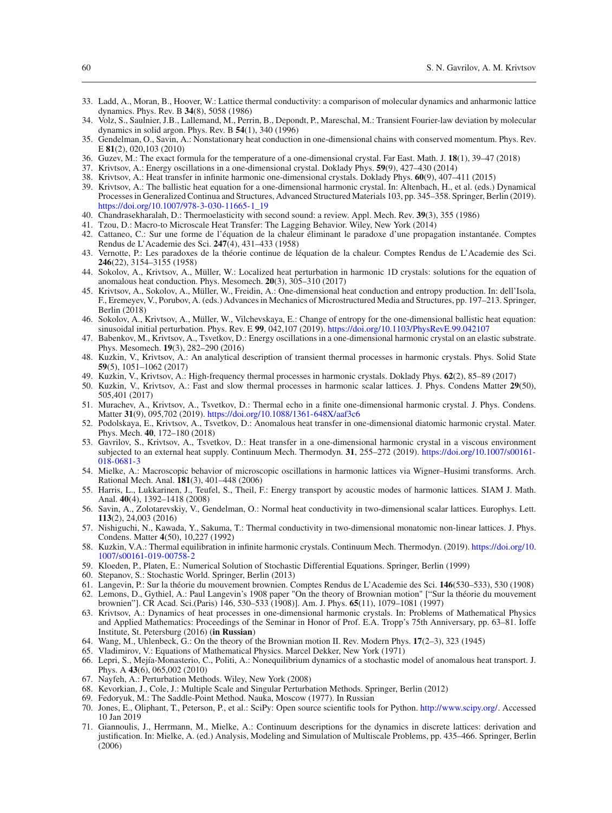- 33. Ladd, A., Moran, B., Hoover, W.: Lattice thermal conductivity: a comparison of molecular dynamics and anharmonic lattice dynamics. Phys. Rev. B **34**(8), 5058 (1986)
- 34. Volz, S., Saulnier, J.B., Lallemand, M., Perrin, B., Depondt, P., Mareschal, M.: Transient Fourier-law deviation by molecular dynamics in solid argon. Phys. Rev. B **54**(1), 340 (1996)
- 35. Gendelman, O., Savin, A.: Nonstationary heat conduction in one-dimensional chains with conserved momentum. Phys. Rev. E **81**(2), 020,103 (2010)
- <span id="page-19-0"></span>36. Guzev, M.: The exact formula for the temperature of a one-dimensional crystal. Far East. Math. J. **18**(1), 39–47 (2018)
- <span id="page-19-1"></span>37. Krivtsov, A.: Energy oscillations in a one-dimensional crystal. Doklady Phys. **59**(9), 427–430 (2014)
- <span id="page-19-7"></span>38. Krivtsov, A.: Heat transfer in infinite harmonic one-dimensional crystals. Doklady Phys. **60**(9), 407–411 (2015)
- <span id="page-19-2"></span>39. Krivtsov, A.: The ballistic heat equation for a one-dimensional harmonic crystal. In: Altenbach, H., et al. (eds.) Dynamical Processes in Generalized Continua and Structures, Advanced Structured Materials 103, pp. 345–358. Springer, Berlin (2019). [https://doi.org/10.1007/978-3-030-11665-1\\_19](https://doi.org/10.1007/978-3-030-11665-1_19)
- <span id="page-19-3"></span>40. Chandrasekharalah, D.: Thermoelasticity with second sound: a review. Appl. Mech. Rev. **39**(3), 355 (1986)
- 41. Tzou, D.: Macro-to Microscale Heat Transfer: The Lagging Behavior. Wiley, New York (2014)
- 42. Cattaneo, C.: Sur une forme de l'équation de la chaleur éliminant le paradoxe d'une propagation instantanée. Comptes Rendus de L'Academie des Sci. **247**(4), 431–433 (1958)
- <span id="page-19-4"></span>43. Vernotte, P.: Les paradoxes de la théorie continue de léquation de la chaleur. Comptes Rendus de L'Academie des Sci. **246**(22), 3154–3155 (1958)
- <span id="page-19-5"></span>44. Sokolov, A., Krivtsov, A., Müller, W.: Localized heat perturbation in harmonic 1D crystals: solutions for the equation of anomalous heat conduction. Phys. Mesomech. **20**(3), 305–310 (2017)
- 45. Krivtsov, A., Sokolov, A., Müller, W., Freidin, A.: One-dimensional heat conduction and entropy production. In: dell'Isola, F., Eremeyev, V., Porubov, A. (eds.) Advances in Mechanics of Microstructured Media and Structures, pp. 197–213. Springer, Berlin (2018)
- <span id="page-19-6"></span>46. Sokolov, A., Krivtsov, A., Müller, W., Vilchevskaya, E.: Change of entropy for the one-dimensional ballistic heat equation: sinusoidal initial perturbation. Phys. Rev. E **99**, 042,107 (2019). <https://doi.org/10.1103/PhysRevE.99.042107>
- <span id="page-19-8"></span>47. Babenkov, M., Krivtsov, A., Tsvetkov, D.: Energy oscillations in a one-dimensional harmonic crystal on an elastic substrate. Phys. Mesomech. **19**(3), 282–290 (2016)
- <span id="page-19-11"></span>48. Kuzkin, V., Krivtsov, A.: An analytical description of transient thermal processes in harmonic crystals. Phys. Solid State **59**(5), 1051–1062 (2017)
- 49. Kuzkin, V., Krivtsov, A.: High-frequency thermal processes in harmonic crystals. Doklady Phys. **62**(2), 85–89 (2017)
- <span id="page-19-12"></span>50. Kuzkin, V., Krivtsov, A.: Fast and slow thermal processes in harmonic scalar lattices. J. Phys. Condens Matter **29**(50), 505,401 (2017)
- <span id="page-19-9"></span>51. Murachev, A., Krivtsov, A., Tsvetkov, D.: Thermal echo in a finite one-dimensional harmonic crystal. J. Phys. Condens. Matter **31**(9), 095,702 (2019). <https://doi.org/10.1088/1361-648X/aaf3c6>
- <span id="page-19-10"></span>52. Podolskaya, E., Krivtsov, A., Tsvetkov, D.: Anomalous heat transfer in one-dimensional diatomic harmonic crystal. Mater. Phys. Mech. **40**, 172–180 (2018)
- <span id="page-19-13"></span>53. Gavrilov, S., Krivtsov, A., Tsvetkov, D.: Heat transfer in a one-dimensional harmonic crystal in a viscous environment subjected to an external heat supply. Continuum Mech. Thermodyn. **31**, 255–272 (2019). [https://doi.org/10.1007/s00161-](https://doi.org/10.1007/s00161-018-0681-3) [018-0681-3](https://doi.org/10.1007/s00161-018-0681-3)
- <span id="page-19-14"></span>54. Mielke, A.: Macroscopic behavior of microscopic oscillations in harmonic lattices via Wigner–Husimi transforms. Arch. Rational Mech. Anal. **181**(3), 401–448 (2006)
- <span id="page-19-29"></span>55. Harris, L., Lukkarinen, J., Teufel, S., Theil, F.: Energy transport by acoustic modes of harmonic lattices. SIAM J. Math. Anal. **40**(4), 1392–1418 (2008)
- 56. Savin, A., Zolotarevskiy, V., Gendelman, O.: Normal heat conductivity in two-dimensional scalar lattices. Europhys. Lett. **113**(2), 24,003 (2016)
- <span id="page-19-15"></span>57. Nishiguchi, N., Kawada, Y., Sakuma, T.: Thermal conductivity in two-dimensional monatomic non-linear lattices. J. Phys. Condens. Matter **4**(50), 10,227 (1992)
- <span id="page-19-16"></span>58. Kuzkin, V.A.: Thermal equilibration in infinite harmonic crystals. Continuum Mech. Thermodyn. (2019). [https://doi.org/10.](https://doi.org/10.1007/s00161-019-00758-2) [1007/s00161-019-00758-2](https://doi.org/10.1007/s00161-019-00758-2)
- <span id="page-19-17"></span>59. Kloeden, P., Platen, E.: Numerical Solution of Stochastic Differential Equations. Springer, Berlin (1999)
- <span id="page-19-18"></span>60. Stepanov, S.: Stochastic World. Springer, Berlin (2013)
- <span id="page-19-19"></span>61. Langevin, P.: Sur la théorie du mouvement brownien. Comptes Rendus de L'Academie des Sci. **146**(530–533), 530 (1908)
- <span id="page-19-20"></span>62. Lemons, D., Gythiel, A.: Paul Langevin's 1908 paper "On the theory of Brownian motion" ["Sur la théorie du mouvement brownien"]. CR Acad. Sci.(Paris) 146, 530–533 (1908)]. Am. J. Phys. **65**(11), 1079–1081 (1997)
- <span id="page-19-21"></span>63. Krivtsov, A.: Dynamics of heat processes in one-dimensional harmonic crystals. In: Problems of Mathematical Physics and Applied Mathematics: Proceedings of the Seminar in Honor of Prof. E.A. Tropp's 75th Anniversary, pp. 63–81. Ioffe Institute, St. Petersburg (2016) (**in Russian**)
- <span id="page-19-22"></span>64. Wang, M., Uhlenbeck, G.: On the theory of the Brownian motion II. Rev. Modern Phys. **17**(2–3), 323 (1945)
- <span id="page-19-23"></span>65. Vladimirov, V.: Equations of Mathematical Physics. Marcel Dekker, New York (1971)
- <span id="page-19-24"></span>66. Lepri, S., Mejía-Monasterio, C., Politi, A.: Nonequilibrium dynamics of a stochastic model of anomalous heat transport. J. Phys. A **43**(6), 065,002 (2010)
- <span id="page-19-25"></span>67. Nayfeh, A.: Perturbation Methods. Wiley, New York (2008)
- <span id="page-19-26"></span>68. Kevorkian, J., Cole, J.: Multiple Scale and Singular Perturbation Methods. Springer, Berlin (2012)
- <span id="page-19-27"></span>69. Fedoryuk, M.: The Saddle-Point Method. Nauka, Moscow (1977). In Russian
- <span id="page-19-28"></span>70. Jones, E., Oliphant, T., Peterson, P., et al.: SciPy: Open source scientific tools for Python. [http://www.scipy.org/.](http://www.scipy.org/) Accessed 10 Jan 2019
- <span id="page-19-30"></span>71. Giannoulis, J., Herrmann, M., Mielke, A.: Continuum descriptions for the dynamics in discrete lattices: derivation and justification. In: Mielke, A. (ed.) Analysis, Modeling and Simulation of Multiscale Problems, pp. 435–466. Springer, Berlin (2006)